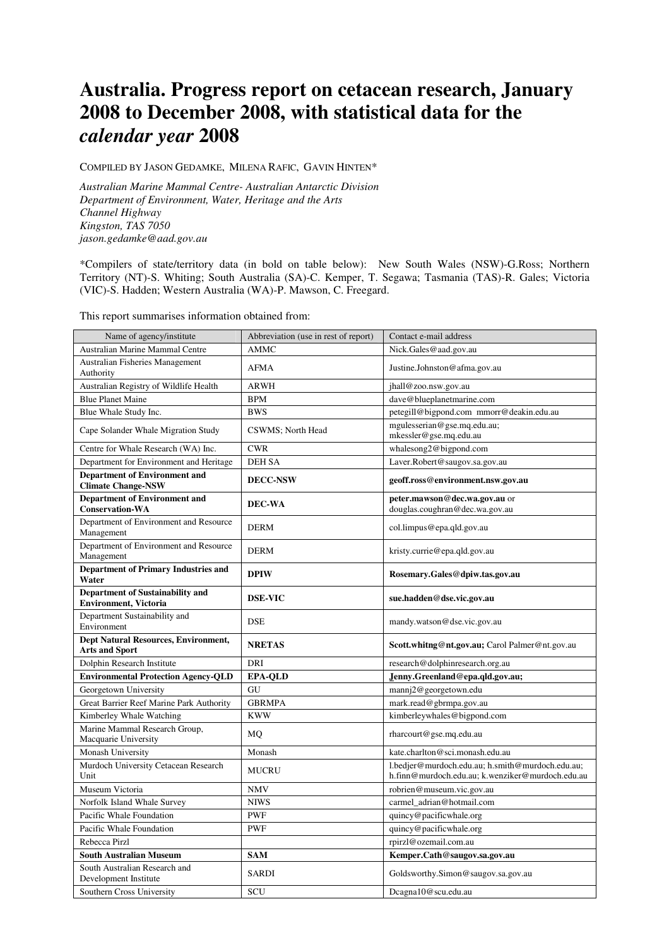# **Australia. Progress report on cetacean research, January 2008 to December 2008, with statistical data for the**  *calendar year* **2008**

COMPILED BY JASON GEDAMKE, MILENA RAFIC, GAVIN HINTEN\*

*Australian Marine Mammal Centre- Australian Antarctic Division Department of Environment, Water, Heritage and the Arts Channel Highway Kingston, TAS 7050 jason.gedamke@aad.gov.au* 

\*Compilers of state/territory data (in bold on table below): New South Wales (NSW)-G.Ross; Northern Territory (NT)-S. Whiting; South Australia (SA)-C. Kemper, T. Segawa; Tasmania (TAS)-R. Gales; Victoria (VIC)-S. Hadden; Western Australia (WA)-P. Mawson, C. Freegard.

This report summarises information obtained from:

| Name of agency/institute                                                 | Abbreviation (use in rest of report) | Contact e-mail address                                                                               |
|--------------------------------------------------------------------------|--------------------------------------|------------------------------------------------------------------------------------------------------|
| Australian Marine Mammal Centre                                          | <b>AMMC</b>                          | Nick.Gales@aad.gov.au                                                                                |
| Australian Fisheries Management<br>Authority                             | <b>AFMA</b>                          | Justine.Johnston@afma.gov.au                                                                         |
| Australian Registry of Wildlife Health                                   | <b>ARWH</b>                          | jhall@zoo.nsw.gov.au                                                                                 |
| <b>Blue Planet Maine</b>                                                 | <b>BPM</b>                           | dave@blueplanetmarine.com                                                                            |
| Blue Whale Study Inc.                                                    | <b>BWS</b>                           | petegill@bigpond.com mmorr@deakin.edu.au                                                             |
| Cape Solander Whale Migration Study                                      | CSWMS; North Head                    | mgulesserian@gse.mq.edu.au;<br>mkessler@gse.mq.edu.au                                                |
| Centre for Whale Research (WA) Inc.                                      | <b>CWR</b>                           | whalesong2@bigpond.com                                                                               |
| Department for Environment and Heritage                                  | <b>DEH SA</b>                        | Laver.Robert@saugov.sa.gov.au                                                                        |
| <b>Department of Environment and</b><br><b>Climate Change-NSW</b>        | <b>DECC-NSW</b>                      | geoff.ross@environment.nsw.gov.au                                                                    |
| <b>Department of Environment and</b><br><b>Conservation-WA</b>           | DEC-WA                               | peter.mawson@dec.wa.gov.au or<br>douglas.coughran@dec.wa.gov.au                                      |
| Department of Environment and Resource<br>Management                     | <b>DERM</b>                          | col.limpus@epa.qld.gov.au                                                                            |
| Department of Environment and Resource<br>Management                     | <b>DERM</b>                          | kristy.currie@epa.qld.gov.au                                                                         |
| <b>Department of Primary Industries and</b><br>Water                     | <b>DPIW</b>                          | Rosemary.Gales@dpiw.tas.gov.au                                                                       |
| <b>Department of Sustainability and</b><br><b>Environment</b> , Victoria | <b>DSE-VIC</b>                       | sue.hadden@dse.vic.gov.au                                                                            |
| Department Sustainability and<br>Environment                             | <b>DSE</b>                           | mandy.watson@dse.vic.gov.au                                                                          |
| Dept Natural Resources, Environment,<br><b>Arts and Sport</b>            | <b>NRETAS</b>                        | Scott.whitng@nt.gov.au; Carol Palmer@nt.gov.au                                                       |
| Dolphin Research Institute                                               | DRI                                  | research@dolphinresearch.org.au                                                                      |
| <b>Environmental Protection Agency-QLD</b>                               | <b>EPA-QLD</b>                       | Jenny.Greenland@epa.qld.gov.au;                                                                      |
| Georgetown University                                                    | GU                                   | mannj2@georgetown.edu                                                                                |
| Great Barrier Reef Marine Park Authority                                 | <b>GBRMPA</b>                        | mark.read@gbrmpa.gov.au                                                                              |
| Kimberley Whale Watching                                                 | <b>KWW</b>                           | kimberleywhales@bigpond.com                                                                          |
| Marine Mammal Research Group,<br>Macquarie University                    | MQ                                   | rharcourt@gse.mq.edu.au                                                                              |
| Monash University                                                        | Monash                               | kate.charlton@sci.monash.edu.au                                                                      |
| Murdoch University Cetacean Research<br>Unit                             | MUCRU                                | l.bedjer@murdoch.edu.au; h.smith@murdoch.edu.au;<br>h.finn@murdoch.edu.au; k.wenziker@murdoch.edu.au |
| Museum Victoria                                                          | <b>NMV</b>                           | robrien@museum.vic.gov.au                                                                            |
| Norfolk Island Whale Survey                                              | <b>NIWS</b>                          | carmel_adrian@hotmail.com                                                                            |
| Pacific Whale Foundation                                                 | <b>PWF</b>                           | quincy@pacificwhale.org                                                                              |
| Pacific Whale Foundation                                                 | <b>PWF</b>                           | quincy@pacificwhale.org                                                                              |
| Rebecca Pirzl                                                            |                                      | rpirzl@ozemail.com.au                                                                                |
| <b>South Australian Museum</b>                                           | <b>SAM</b>                           | Kemper.Cath@saugov.sa.gov.au                                                                         |
| South Australian Research and<br>Development Institute                   | <b>SARDI</b>                         | Goldsworthy.Simon@saugov.sa.gov.au                                                                   |
| Southern Cross University                                                | SCU                                  | Dcagna10@scu.edu.au                                                                                  |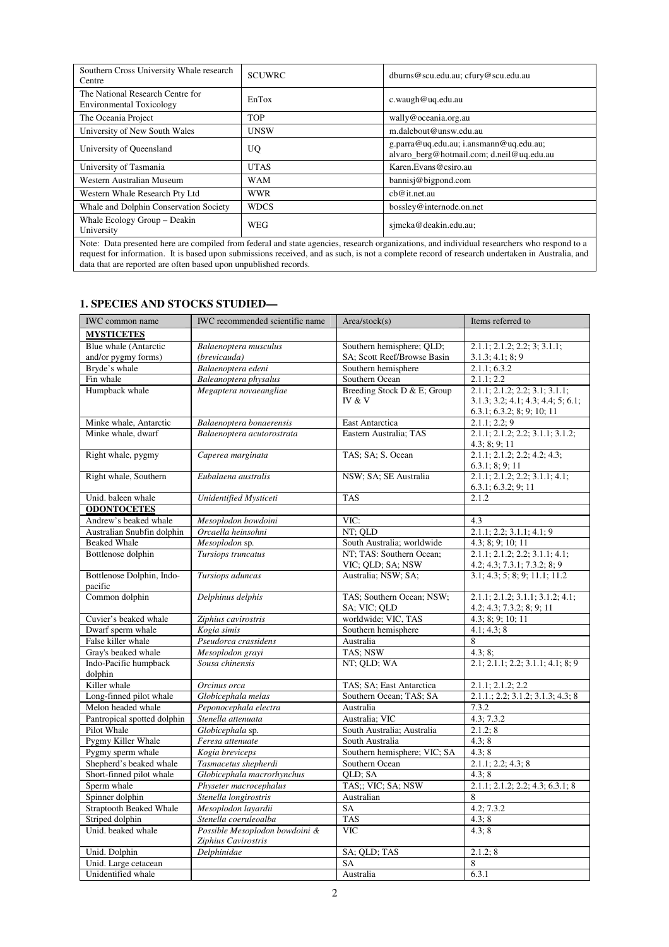| Southern Cross University Whale research<br>Centre                                                                                          | <b>SCUWRC</b> | dburns@scu.edu.au; cfury@scu.edu.au                                                  |  |  |  |
|---------------------------------------------------------------------------------------------------------------------------------------------|---------------|--------------------------------------------------------------------------------------|--|--|--|
| The National Research Centre for<br><b>Environmental Toxicology</b>                                                                         | EnTox         | c.waugh@uq.edu.au                                                                    |  |  |  |
| The Oceania Project                                                                                                                         | <b>TOP</b>    | wally@oceania.org.au                                                                 |  |  |  |
| University of New South Wales                                                                                                               | <b>UNSW</b>   | m.dalebout@unsw.edu.au                                                               |  |  |  |
| University of Queensland                                                                                                                    | UQ            | g.parra@uq.edu.au; i.ansmann@uq.edu.au;<br>alvaro berg@hotmail.com; d.neil@uq.edu.au |  |  |  |
| University of Tasmania                                                                                                                      | <b>UTAS</b>   | Karen. Evans@csiro. au                                                               |  |  |  |
| Western Australian Museum                                                                                                                   | <b>WAM</b>    | bannisj@bigpond.com                                                                  |  |  |  |
| Western Whale Research Pty Ltd                                                                                                              | <b>WWR</b>    | cb@it.net.au                                                                         |  |  |  |
| Whale and Dolphin Conservation Society                                                                                                      | <b>WDCS</b>   | bossley@internode.on.net                                                             |  |  |  |
| Whale Ecology Group - Deakin<br>University                                                                                                  | <b>WEG</b>    | simcka@deakin.edu.au;                                                                |  |  |  |
| Note: Data presented here are compiled from federal and state agencies, research organizations, and individual researchers who respond to a |               |                                                                                      |  |  |  |

Note: Data presented here are compiled from federal and state agencies, research organizations, and individual researchers who respond to a request for information. It is based upon submissions received, and as such, is not a complete record of research undertaken in Australia, and data that are reported are often based upon unpublished records.

# **1. SPECIES AND STOCKS STUDIED—**

| <b>IWC</b> common name                            | IWC recommended scientific name                       | Area/stock(s)                                 | Items referred to                                              |
|---------------------------------------------------|-------------------------------------------------------|-----------------------------------------------|----------------------------------------------------------------|
| <b>MYSTICETES</b>                                 |                                                       |                                               |                                                                |
| Blue whale (Antarctic                             | Balaenoptera musculus                                 | Southern hemisphere; QLD;                     | 2.1.1; 2.1.2; 2.2; 3; 3.1.1;                                   |
| and/or pygmy forms)                               | (brevicauda)                                          | SA; Scott Reef/Browse Basin                   | 3.1.3; 4.1; 8; 9                                               |
| Bryde's whale                                     | Balaenoptera edeni                                    | Southern hemisphere                           | 2.1.1; 6.3.2                                                   |
| Fin whale                                         | Baleanoptera physalus                                 | Southern Ocean                                | 2.1.1; 2.2                                                     |
| Humpback whale                                    | Megaptera novaeangliae                                | Breeding Stock D & E; Group                   | 2.1.1; 2.1.2; 2.2; 3.1; 3.1.1;                                 |
|                                                   |                                                       | IV & V                                        | 3.1.3; 3.2; 4.1; 4.3; 4.4; 5; 6.1;                             |
|                                                   |                                                       |                                               | 6.3.1; 6.3.2; 8; 9; 10; 11                                     |
| Minke whale, Antarctic                            | Balaenoptera bonaerensis                              | <b>East Antarctica</b>                        | 2.1.1; 2.2; 9                                                  |
| Minke whale, dwarf                                | Balaenoptera acutorostrata                            | Eastern Australia: TAS                        | 2.1.1; 2.1.2; 2.2; 3.1.1; 3.1.2;<br>4.3; 8; 9; 11              |
| Right whale, pygmy                                | Caperea marginata                                     | TAS; SA; S. Ocean                             | 2.1.1; 2.1.2; 2.2; 4.2; 4.3;<br>6.3.1; 8; 9; 11                |
| Right whale, Southern                             | Eubalaena australis                                   | NSW; SA; SE Australia                         | 2.1.1; 2.1.2; 2.2; 3.1.1; 4.1;                                 |
| Unid. baleen whale                                | Unidentified Mysticeti                                | <b>TAS</b>                                    | 6.3.1; 6.3.2; 9; 11<br>2.1.2                                   |
|                                                   |                                                       |                                               |                                                                |
| <b>ODONTOCETES</b>                                |                                                       | VIC:                                          |                                                                |
| Andrew's beaked whale                             | Mesoplodon bowdoini<br>Orcaella heinsohni             |                                               | 4.3<br>2.1.1; 2.2; 3.1.1; 4.1; 9                               |
| Australian Snubfin dolphin<br><b>Beaked Whale</b> |                                                       | NT; OLD                                       |                                                                |
| Bottlenose dolphin                                | Mesoplodon sp.<br>Tursiops truncatus                  | South Australia; worldwide                    | 4.3; 8; 9; 10; 11                                              |
|                                                   |                                                       | NT; TAS: Southern Ocean;<br>VIC; QLD; SA; NSW | 2.1.1; 2.1.2; 2.2; 3.1.1; 4.1;<br>4.2; 4.3; 7.3.1; 7.3.2; 8; 9 |
| Bottlenose Dolphin, Indo-<br>pacific              | Tursiops aduncas                                      | Australia; NSW; SA;                           | 3.1; 4.3; 5; 8; 9; 11.1; 11.2                                  |
| Common dolphin                                    | Delphinus delphis                                     | TAS; Southern Ocean; NSW;<br>SA; VIC; QLD     | 2.1.1; 2.1.2; 3.1.1; 3.1.2; 4.1;<br>4.2; 4.3; 7.3.2; 8; 9; 11  |
| Cuvier's beaked whale                             | Ziphius cavirostris                                   | worldwide; VIC, TAS                           | 4.3; 8; 9; 10; 11                                              |
| Dwarf sperm whale                                 | Kogia simis                                           | Southern hemisphere                           | 4.1; 4.3; 8                                                    |
| False killer whale                                | Pseudorca crassidens                                  | Australia                                     | 8                                                              |
| Gray's beaked whale                               | Mesoplodon gravi                                      | TAS; NSW                                      | 4.3; 8;                                                        |
| Indo-Pacific humpback<br>dolphin                  | Sousa chinensis                                       | NT; OLD; WA                                   | 2.1; 2.1.1; 2.2; 3.1.1; 4.1; 8; 9                              |
| Killer whale                                      | Orcinus orca                                          | TAS; SA; East Antarctica                      | 2.1.1; 2.1.2; 2.2                                              |
| Long-finned pilot whale                           | Globicephala melas                                    | Southern Ocean; TAS; SA                       | $2.1.1$ ; 2.2; 3.1.2; 3.1.3; 4.3; 8                            |
| Melon headed whale                                | Peponocephala electra                                 | Australia                                     | 7.3.2                                                          |
| Pantropical spotted dolphin                       | Stenella attenuata                                    | Australia; VIC                                | 4.3; 7.3.2                                                     |
| Pilot Whale                                       | Globicephala sp.                                      | South Australia; Australia                    | 2.1.2; 8                                                       |
| Pygmy Killer Whale                                | Feresa attenuate                                      | South Australia                               | 4.3:8                                                          |
| Pygmy sperm whale                                 | Kogia breviceps                                       | Southern hemisphere; VIC; SA                  | 4.3:8                                                          |
| Shepherd's beaked whale                           | Tasmacetus shepherdi                                  | Southern Ocean                                | 2.1.1; 2.2; 4.3; 8                                             |
| Short-finned pilot whale                          | Globicephala macrorhynchus                            | QLD; SA                                       | 4.3; 8                                                         |
| Sperm whale                                       | Physeter macrocephalus                                | TAS;; VIC; SA; NSW                            | 2.1.1; 2.1.2; 2.2; 4.3; 6.3.1; 8                               |
| Spinner dolphin                                   | Stenella longirostris                                 | Australian                                    | 8                                                              |
| <b>Straptooth Beaked Whale</b>                    | Mesoplodon layardii                                   | SA                                            | 4.2; 7.3.2                                                     |
| Striped dolphin                                   | Stenella coeruleoalba                                 | <b>TAS</b>                                    | 4.3; 8                                                         |
| Unid. beaked whale                                | Possible Mesoplodon bowdoini &<br>Ziphius Cavirostris | <b>VIC</b>                                    | 4.3:8                                                          |
| Unid. Dolphin                                     | Delphinidae                                           | SA; QLD; TAS                                  | 2.1.2; 8                                                       |
| Unid. Large cetacean                              |                                                       | SA                                            | 8                                                              |
| Unidentified whale                                |                                                       | Australia                                     | 6.3.1                                                          |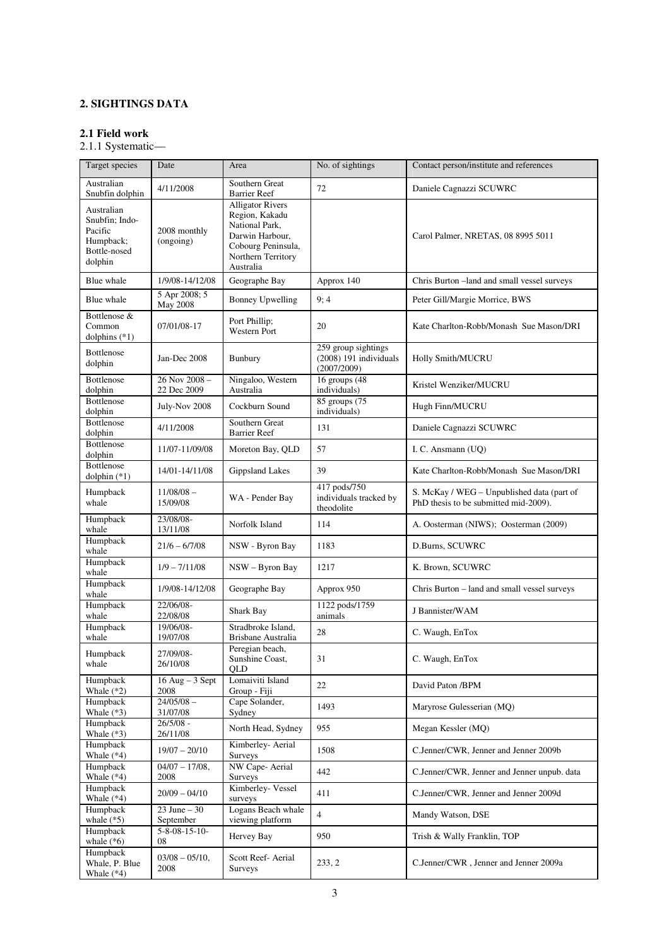# **2. SIGHTINGS DATA**

# **2.1 Field work**

2.1.1 Systematic—

| Target species                                                                  | Date                         | Area                                                                                                                                    | No. of sightings                                               | Contact person/institute and references                                             |
|---------------------------------------------------------------------------------|------------------------------|-----------------------------------------------------------------------------------------------------------------------------------------|----------------------------------------------------------------|-------------------------------------------------------------------------------------|
| Australian<br>Snubfin dolphin                                                   | 4/11/2008                    | Southern Great<br><b>Barrier Reef</b>                                                                                                   | 72                                                             | Daniele Cagnazzi SCUWRC                                                             |
| Australian<br>Snubfin; Indo-<br>Pacific<br>Humpback;<br>Bottle-nosed<br>dolphin | 2008 monthly<br>(ongoing)    | <b>Alligator Rivers</b><br>Region, Kakadu<br>National Park,<br>Darwin Harbour,<br>Cobourg Peninsula,<br>Northern Territory<br>Australia |                                                                | Carol Palmer, NRETAS, 08 8995 5011                                                  |
| Blue whale                                                                      | 1/9/08-14/12/08              | Geographe Bay                                                                                                                           | Approx 140                                                     | Chris Burton -land and small vessel surveys                                         |
| Blue whale                                                                      | 5 Apr 2008; 5<br>May 2008    | <b>Bonney Upwelling</b>                                                                                                                 | 9:4                                                            | Peter Gill/Margie Morrice, BWS                                                      |
| Bottlenose &<br>Common<br>dolphins $(*1)$                                       | 07/01/08-17                  | Port Phillip;<br>Western Port                                                                                                           | 20                                                             | Kate Charlton-Robb/Monash Sue Mason/DRI                                             |
| <b>Bottlenose</b><br>dolphin                                                    | Jan-Dec 2008                 | <b>Bunbury</b>                                                                                                                          | 259 group sightings<br>$(2008)$ 191 individuals<br>(2007/2009) | Holly Smith/MUCRU                                                                   |
| <b>Bottlenose</b><br>dolphin                                                    | 26 Nov 2008 -<br>22 Dec 2009 | Ningaloo, Western<br>Australia                                                                                                          | 16 groups (48<br>individuals)                                  | Kristel Wenziker/MUCRU                                                              |
| <b>Bottlenose</b><br>dolphin                                                    | July-Nov 2008                | Cockburn Sound                                                                                                                          | 85 groups (75<br>individuals)                                  | Hugh Finn/MUCRU                                                                     |
| <b>Bottlenose</b><br>dolphin                                                    | 4/11/2008                    | Southern Great<br><b>Barrier Reef</b>                                                                                                   | 131                                                            | Daniele Cagnazzi SCUWRC                                                             |
| Bottlenose<br>dolphin                                                           | 11/07-11/09/08               | Moreton Bay, QLD                                                                                                                        | 57                                                             | I. C. Ansmann (UQ)                                                                  |
| Bottlenose<br>dolphin $(*1)$                                                    | 14/01-14/11/08               | <b>Gippsland Lakes</b>                                                                                                                  | 39                                                             | Kate Charlton-Robb/Monash Sue Mason/DRI                                             |
| Humpback<br>whale                                                               | $11/08/08$ -<br>15/09/08     | WA - Pender Bay                                                                                                                         | 417 pods/750<br>individuals tracked by<br>theodolite           | S. McKay / WEG - Unpublished data (part of<br>PhD thesis to be submitted mid-2009). |
| Humpback<br>whale                                                               | 23/08/08-<br>13/11/08        | Norfolk Island                                                                                                                          | 114                                                            | A. Oosterman (NIWS); Oosterman (2009)                                               |
| Humpback<br>whale                                                               | $21/6 - 6/7/08$              | NSW - Byron Bay                                                                                                                         | 1183                                                           | D.Burns, SCUWRC                                                                     |
| Humpback<br>whale                                                               | $1/9 - 7/11/08$              | $NSW - Byron Bay$                                                                                                                       | 1217                                                           | K. Brown, SCUWRC                                                                    |
| Humpback<br>whale                                                               | 1/9/08-14/12/08              | Geographe Bay                                                                                                                           | Approx 950                                                     | Chris Burton - land and small vessel surveys                                        |
| Humpback<br>whale                                                               | 22/06/08-<br>22/08/08        | <b>Shark Bay</b>                                                                                                                        | 1122 pods/1759<br>animals                                      | J Bannister/WAM                                                                     |
| Humpback<br>whale                                                               | 19/06/08-<br>19/07/08        | Stradbroke Island.<br>Brisbane Australia                                                                                                | 28                                                             | C. Waugh, EnTox                                                                     |
| Humpback<br>whale                                                               | 27/09/08-<br>26/10/08        | Peregian beach,<br>Sunshine Coast,<br>QLD                                                                                               | 31                                                             | C. Waugh, EnTox                                                                     |
| Humpback<br>Whale $(*2)$                                                        | $16$ Aug $-3$ Sept<br>2008   | Lomaiviti Island<br>Group - Fiji                                                                                                        | 22                                                             | David Paton /BPM                                                                    |
| Humpback<br>Whale $(*3)$                                                        | $24/05/08 -$<br>31/07/08     | Cape Solander,<br>Sydney                                                                                                                | 1493                                                           | Maryrose Gulesserian (MQ)                                                           |
| Humpback<br>Whale $(*3)$                                                        | $26/5/08 -$<br>26/11/08      | North Head, Sydney                                                                                                                      | 955                                                            | Megan Kessler (MO)                                                                  |
| Humpback<br>Whale $(*4)$                                                        | $19/07 - 20/10$              | Kimberley- Aerial<br>Surveys                                                                                                            | 1508                                                           | C.Jenner/CWR, Jenner and Jenner 2009b                                               |
| Humpback<br>Whale $(*4)$                                                        | $04/07 - 17/08$ ,<br>2008    | NW Cape- Aerial<br><b>Surveys</b>                                                                                                       | 442                                                            | C.Jenner/CWR, Jenner and Jenner unpub. data                                         |
| Humpback<br>Whale $(*4)$                                                        | $20/09 - 04/10$              | Kimberley- Vessel<br>surveys                                                                                                            | 411                                                            | C.Jenner/CWR, Jenner and Jenner 2009d                                               |
| Humpback<br>whale $(*5)$                                                        | $23$ June $-30$<br>September | Logans Beach whale<br>viewing platform                                                                                                  | $\overline{4}$                                                 | Mandy Watson, DSE                                                                   |
| Humpback<br>whale $(*6)$                                                        | $5 - 8 - 08 - 15 - 10$<br>08 | Hervey Bay                                                                                                                              | 950                                                            | Trish & Wally Franklin, TOP                                                         |
| Humpback<br>Whale, P. Blue<br>Whale $(*4)$                                      | $03/08 - 05/10$ ,<br>2008    | Scott Reef-Aerial<br>Surveys                                                                                                            | 233, 2                                                         | C.Jenner/CWR, Jenner and Jenner 2009a                                               |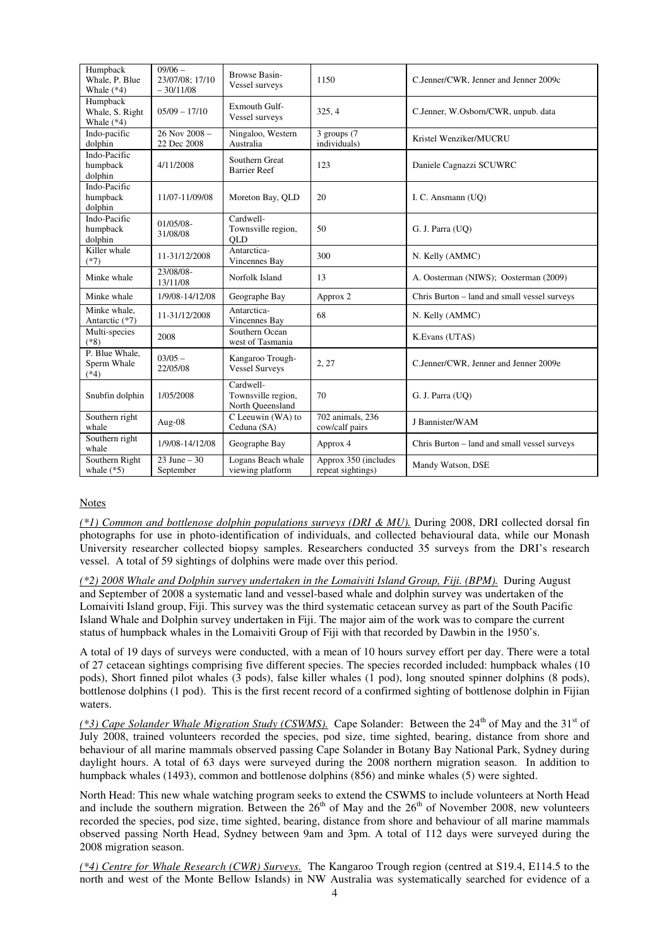| Humpback<br>Whale, P. Blue<br>Whale $(*4)$  | $09/06 -$<br>23/07/08; 17/10<br>$-30/11/08$ | <b>Browse Basin-</b><br>Vessel surveys              | 1150                                      | C.Jenner/CWR, Jenner and Jenner 2009c        |
|---------------------------------------------|---------------------------------------------|-----------------------------------------------------|-------------------------------------------|----------------------------------------------|
| Humpback<br>Whale, S. Right<br>Whale $(*4)$ | $05/09 - 17/10$                             | Exmouth Gulf-<br>Vessel surveys                     | 325, 4                                    | C.Jenner, W.Osborn/CWR, unpub. data          |
| Indo-pacific<br>dolphin                     | $26$ Nov $2008 -$<br>22 Dec 2008            | Ningaloo, Western<br>Australia                      | 3 groups (7<br>individuals)               | Kristel Wenziker/MUCRU                       |
| Indo-Pacific<br>humpback<br>dolphin         | 4/11/2008                                   | Southern Great<br><b>Barrier Reef</b>               | 123                                       | Daniele Cagnazzi SCUWRC                      |
| Indo-Pacific<br>humpback<br>dolphin         | 11/07-11/09/08                              | Moreton Bay, QLD                                    | 20                                        | I. C. Ansmann (UQ)                           |
| Indo-Pacific<br>humpback<br>dolphin         | 01/05/08-<br>31/08/08                       | Cardwell-<br>Townsville region,<br>QLD              | 50                                        | G. J. Parra (UQ)                             |
| Killer whale<br>$(*7)$                      | 11-31/12/2008                               | Antarctica-<br>Vincennes Bay                        | 300                                       | N. Kelly (AMMC)                              |
| Minke whale                                 | 23/08/08-<br>13/11/08                       | Norfolk Island                                      | 13                                        | A. Oosterman (NIWS); Oosterman (2009)        |
| Minke whale                                 | 1/9/08-14/12/08                             | Geographe Bay                                       | Approx 2                                  | Chris Burton - land and small vessel surveys |
| Minke whale.<br>Antarctic (*7)              | 11-31/12/2008                               | Antarctica-<br>Vincennes Bay                        | 68                                        | N. Kelly (AMMC)                              |
| Multi-species<br>$(*8)$                     | 2008                                        | Southern Ocean<br>west of Tasmania                  |                                           | K.Evans (UTAS)                               |
| P. Blue Whale.<br>Sperm Whale<br>$(*4)$     | $03/05 -$<br>22/05/08                       | Kangaroo Trough-<br><b>Vessel Surveys</b>           | 2, 27                                     | C.Jenner/CWR, Jenner and Jenner 2009e        |
| Snubfin dolphin                             | 1/05/2008                                   | Cardwell-<br>Townsville region,<br>North Queensland | 70                                        | G. J. Parra (UO)                             |
| Southern right<br>whale                     | Aug-08                                      | $C$ Leeuwin (WA) to<br>Ceduna (SA)                  | 702 animals, 236<br>cow/calf pairs        | J Bannister/WAM                              |
| Southern right<br>whale                     | 1/9/08-14/12/08                             | Geographe Bay                                       | Approx 4                                  | Chris Burton - land and small vessel surveys |
| Southern Right<br>whale $(*5)$              | $23$ June $-30$<br>September                | Logans Beach whale<br>viewing platform              | Approx 350 (includes<br>repeat sightings) | Mandy Watson, DSE                            |

#### Notes

*(\*1) Common and bottlenose dolphin populations surveys (DRI & MU).* During 2008, DRI collected dorsal fin photographs for use in photo-identification of individuals, and collected behavioural data, while our Monash University researcher collected biopsy samples. Researchers conducted 35 surveys from the DRI's research vessel. A total of 59 sightings of dolphins were made over this period.

*(\*2) 2008 Whale and Dolphin survey undertaken in the Lomaiviti Island Group, Fiji. (BPM).* During August and September of 2008 a systematic land and vessel-based whale and dolphin survey was undertaken of the Lomaiviti Island group, Fiji. This survey was the third systematic cetacean survey as part of the South Pacific Island Whale and Dolphin survey undertaken in Fiji. The major aim of the work was to compare the current status of humpback whales in the Lomaiviti Group of Fiji with that recorded by Dawbin in the 1950's.

A total of 19 days of surveys were conducted, with a mean of 10 hours survey effort per day. There were a total of 27 cetacean sightings comprising five different species. The species recorded included: humpback whales (10 pods), Short finned pilot whales (3 pods), false killer whales (1 pod), long snouted spinner dolphins (8 pods), bottlenose dolphins (1 pod). This is the first recent record of a confirmed sighting of bottlenose dolphin in Fijian waters.

*(\*3) Cape Solander Whale Migration Study (CSWMS).* Cape Solander: Between the 24<sup>th</sup> of May and the 31<sup>st</sup> of July 2008, trained volunteers recorded the species, pod size, time sighted, bearing, distance from shore and behaviour of all marine mammals observed passing Cape Solander in Botany Bay National Park, Sydney during daylight hours. A total of 63 days were surveyed during the 2008 northern migration season. In addition to humpback whales (1493), common and bottlenose dolphins (856) and minke whales (5) were sighted.

North Head: This new whale watching program seeks to extend the CSWMS to include volunteers at North Head and include the southern migration. Between the  $26<sup>th</sup>$  of May and the  $26<sup>th</sup>$  of November 2008, new volunteers recorded the species, pod size, time sighted, bearing, distance from shore and behaviour of all marine mammals observed passing North Head, Sydney between 9am and 3pm. A total of 112 days were surveyed during the 2008 migration season.

*(\*4) Centre for Whale Research (CWR) Surveys.* The Kangaroo Trough region (centred at S19.4, E114.5 to the north and west of the Monte Bellow Islands) in NW Australia was systematically searched for evidence of a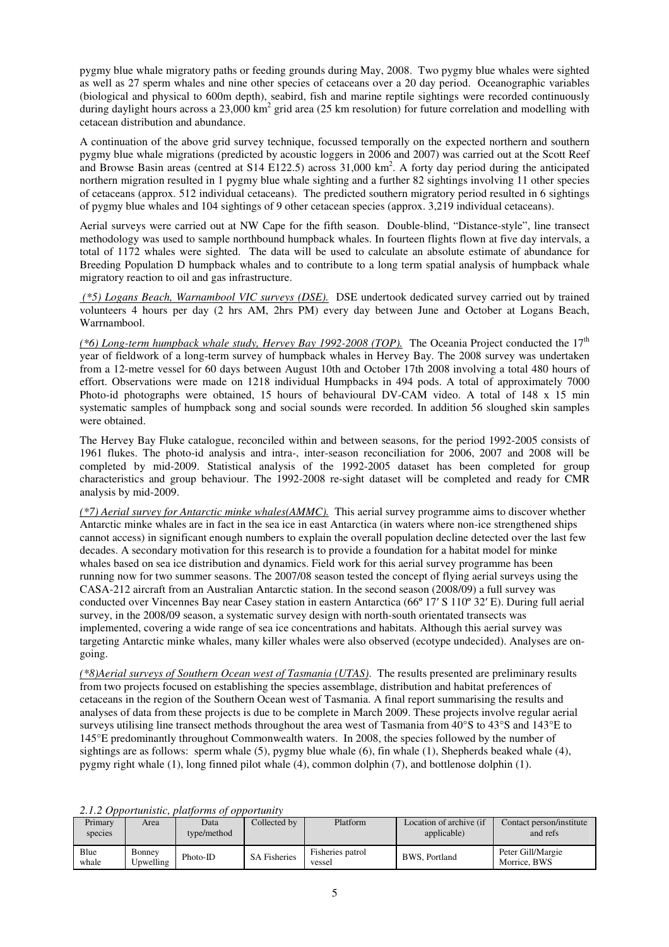pygmy blue whale migratory paths or feeding grounds during May, 2008. Two pygmy blue whales were sighted as well as 27 sperm whales and nine other species of cetaceans over a 20 day period. Oceanographic variables (biological and physical to 600m depth), seabird, fish and marine reptile sightings were recorded continuously during daylight hours across a  $23,000 \text{ km}^2$  grid area (25 km resolution) for future correlation and modelling with cetacean distribution and abundance.

A continuation of the above grid survey technique, focussed temporally on the expected northern and southern pygmy blue whale migrations (predicted by acoustic loggers in 2006 and 2007) was carried out at the Scott Reef and Browse Basin areas (centred at S14 E122.5) across 31,000 km<sup>2</sup>. A forty day period during the anticipated northern migration resulted in 1 pygmy blue whale sighting and a further 82 sightings involving 11 other species of cetaceans (approx. 512 individual cetaceans). The predicted southern migratory period resulted in 6 sightings of pygmy blue whales and 104 sightings of 9 other cetacean species (approx. 3,219 individual cetaceans).

Aerial surveys were carried out at NW Cape for the fifth season. Double-blind, "Distance-style", line transect methodology was used to sample northbound humpback whales. In fourteen flights flown at five day intervals, a total of 1172 whales were sighted. The data will be used to calculate an absolute estimate of abundance for Breeding Population D humpback whales and to contribute to a long term spatial analysis of humpback whale migratory reaction to oil and gas infrastructure.

 *(\*5) Logans Beach, Warnambool VIC surveys (DSE).* DSE undertook dedicated survey carried out by trained volunteers 4 hours per day (2 hrs AM, 2hrs PM) every day between June and October at Logans Beach, Warrnambool.

 $(*6)$  Long-term humpback whale study, Hervey Bay 1992-2008 (TOP). The Oceania Project conducted the 17<sup>th</sup> year of fieldwork of a long-term survey of humpback whales in Hervey Bay. The 2008 survey was undertaken from a 12-metre vessel for 60 days between August 10th and October 17th 2008 involving a total 480 hours of effort. Observations were made on 1218 individual Humpbacks in 494 pods. A total of approximately 7000 Photo-id photographs were obtained, 15 hours of behavioural DV-CAM video. A total of 148 x 15 min systematic samples of humpback song and social sounds were recorded. In addition 56 sloughed skin samples were obtained.

The Hervey Bay Fluke catalogue, reconciled within and between seasons, for the period 1992-2005 consists of 1961 flukes. The photo-id analysis and intra-, inter-season reconciliation for 2006, 2007 and 2008 will be completed by mid-2009. Statistical analysis of the 1992-2005 dataset has been completed for group characteristics and group behaviour. The 1992-2008 re-sight dataset will be completed and ready for CMR analysis by mid-2009.

*(\*7) Aerial survey for Antarctic minke whales(AMMC).* This aerial survey programme aims to discover whether Antarctic minke whales are in fact in the sea ice in east Antarctica (in waters where non-ice strengthened ships cannot access) in significant enough numbers to explain the overall population decline detected over the last few decades. A secondary motivation for this research is to provide a foundation for a habitat model for minke whales based on sea ice distribution and dynamics. Field work for this aerial survey programme has been running now for two summer seasons. The 2007/08 season tested the concept of flying aerial surveys using the CASA-212 aircraft from an Australian Antarctic station. In the second season (2008/09) a full survey was conducted over Vincennes Bay near Casey station in eastern Antarctica (66º 17′ S 110º 32′ E). During full aerial survey, in the 2008/09 season, a systematic survey design with north-south orientated transects was implemented, covering a wide range of sea ice concentrations and habitats. Although this aerial survey was targeting Antarctic minke whales, many killer whales were also observed (ecotype undecided). Analyses are ongoing.

*(\*8)Aerial surveys of Southern Ocean west of Tasmania (UTAS)*. The results presented are preliminary results from two projects focused on establishing the species assemblage, distribution and habitat preferences of cetaceans in the region of the Southern Ocean west of Tasmania. A final report summarising the results and analyses of data from these projects is due to be complete in March 2009. These projects involve regular aerial surveys utilising line transect methods throughout the area west of Tasmania from 40°S to 43°S and 143°E to 145°E predominantly throughout Commonwealth waters. In 2008, the species followed by the number of sightings are as follows: sperm whale  $(5)$ , pygmy blue whale  $(6)$ , fin whale  $(1)$ , Shepherds beaked whale  $(4)$ , pygmy right whale (1), long finned pilot whale (4), common dolphin (7), and bottlenose dolphin (1).

| Primary<br>species | Area                | Data<br>type/method | Collected by        | Platform                   | Location of archive (if<br>applicable) | Contact person/institute<br>and refs |
|--------------------|---------------------|---------------------|---------------------|----------------------------|----------------------------------------|--------------------------------------|
| Blue<br>whale      | Bonney<br>Upwelling | $Photo-ID$          | <b>SA Fisheries</b> | Fisheries patrol<br>vessel | <b>BWS. Portland</b>                   | Peter Gill/Margie<br>Morrice, BWS    |

*2.1.2 Opportunistic, platforms of opportunity*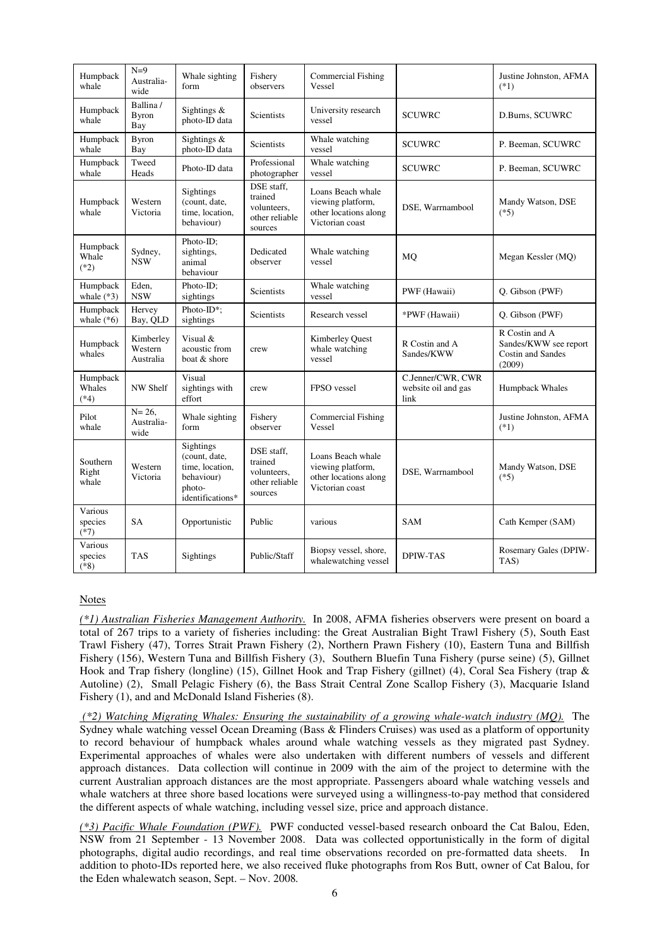| Humpback<br>whale            | $N=9$<br>Australia-<br>wide       | Whale sighting<br>form                                                                    | Fishery<br>observers                                              | <b>Commercial Fishing</b><br>Vessel                                                |                                                  | Justine Johnston, AFMA<br>$(*1)$                                              |
|------------------------------|-----------------------------------|-------------------------------------------------------------------------------------------|-------------------------------------------------------------------|------------------------------------------------------------------------------------|--------------------------------------------------|-------------------------------------------------------------------------------|
| Humpback<br>whale            | Ballina/<br><b>Byron</b><br>Bay   | Sightings &<br>photo-ID data                                                              | <b>Scientists</b>                                                 | University research<br>vessel                                                      | <b>SCUWRC</b>                                    | D.Burns, SCUWRC                                                               |
| Humpback<br>whale            | <b>Byron</b><br>Bay               | Sightings &<br>photo-ID data                                                              | Scientists                                                        | Whale watching<br>vessel                                                           | <b>SCUWRC</b>                                    | P. Beeman, SCUWRC                                                             |
| Humpback<br>whale            | Tweed<br>Heads                    | Photo-ID data                                                                             | Professional<br>photographer                                      | Whale watching<br>vessel                                                           | <b>SCUWRC</b>                                    | P. Beeman, SCUWRC                                                             |
| Humpback<br>whale            | Western<br>Victoria               | Sightings<br>(count, date,<br>time, location,<br>behaviour)                               | DSE staff,<br>trained<br>volunteers.<br>other reliable<br>sources | Loans Beach whale<br>viewing platform,<br>other locations along<br>Victorian coast | DSE, Warrnambool                                 | Mandy Watson, DSE<br>$(*5)$                                                   |
| Humpback<br>Whale<br>$(*2)$  | Sydney,<br><b>NSW</b>             | Photo-ID;<br>sightings,<br>animal<br>behaviour                                            | Dedicated<br>observer                                             | Whale watching<br>vessel                                                           | MQ                                               | Megan Kessler (MQ)                                                            |
| Humpback<br>whale $(*3)$     | Eden,<br><b>NSW</b>               | Photo-ID;<br>sightings                                                                    | Scientists                                                        | Whale watching<br>vessel                                                           | PWF (Hawaii)                                     | Q. Gibson (PWF)                                                               |
| Humpback<br>whale $(*6)$     | Hervey<br>Bay, QLD                | Photo-ID*;<br>sightings                                                                   | Scientists                                                        | Research vessel                                                                    | *PWF (Hawaii)                                    | Q. Gibson (PWF)                                                               |
| Humpback<br>whales           | Kimberley<br>Western<br>Australia | Visual &<br>acoustic from<br>boat & shore                                                 | crew                                                              | Kimberley Quest<br>whale watching<br>vessel                                        | R Costin and A<br>Sandes/KWW                     | R Costin and A<br>Sandes/KWW see report<br><b>Costin and Sandes</b><br>(2009) |
| Humpback<br>Whales<br>$(*4)$ | NW Shelf                          | Visual<br>sightings with<br>effort                                                        | crew                                                              | FPSO vessel                                                                        | C.Jenner/CWR, CWR<br>website oil and gas<br>link | Humpback Whales                                                               |
| Pilot<br>whale               | $N = 26$ .<br>Australia-<br>wide  | Whale sighting<br>form                                                                    | Fishery<br>observer                                               | <b>Commercial Fishing</b><br>Vessel                                                |                                                  | Justine Johnston, AFMA<br>$(*1)$                                              |
| Southern<br>Right<br>whale   | Western<br>Victoria               | Sightings<br>(count, date,<br>time, location,<br>behaviour)<br>photo-<br>identifications* | DSE staff,<br>trained<br>volunteers,<br>other reliable<br>sources | Loans Beach whale<br>viewing platform,<br>other locations along<br>Victorian coast | DSE, Warrnambool                                 | Mandy Watson, DSE<br>$(*5)$                                                   |
| Various<br>species<br>$(*7)$ | <b>SA</b>                         | Opportunistic                                                                             | Public                                                            | various                                                                            | SAM                                              | Cath Kemper (SAM)                                                             |
| Various<br>species<br>$(*8)$ | <b>TAS</b>                        | Sightings                                                                                 | Public/Staff                                                      | Biopsy vessel, shore,<br>whalewatching vessel                                      | <b>DPIW-TAS</b>                                  | Rosemary Gales (DPIW-<br>TAS)                                                 |

#### Notes

*(\*1) Australian Fisheries Management Authority.* In 2008, AFMA fisheries observers were present on board a total of 267 trips to a variety of fisheries including: the Great Australian Bight Trawl Fishery (5), South East Trawl Fishery (47), Torres Strait Prawn Fishery (2), Northern Prawn Fishery (10), Eastern Tuna and Billfish Fishery (156), Western Tuna and Billfish Fishery (3), Southern Bluefin Tuna Fishery (purse seine) (5), Gillnet Hook and Trap fishery (longline) (15), Gillnet Hook and Trap Fishery (gillnet) (4), Coral Sea Fishery (trap & Autoline) (2), Small Pelagic Fishery (6), the Bass Strait Central Zone Scallop Fishery (3), Macquarie Island Fishery (1), and and McDonald Island Fisheries (8).

 *(\*2) Watching Migrating Whales: Ensuring the sustainability of a growing whale-watch industry (MQ).* The Sydney whale watching vessel Ocean Dreaming (Bass & Flinders Cruises) was used as a platform of opportunity to record behaviour of humpback whales around whale watching vessels as they migrated past Sydney. Experimental approaches of whales were also undertaken with different numbers of vessels and different approach distances. Data collection will continue in 2009 with the aim of the project to determine with the current Australian approach distances are the most appropriate. Passengers aboard whale watching vessels and whale watchers at three shore based locations were surveyed using a willingness-to-pay method that considered the different aspects of whale watching, including vessel size, price and approach distance.

*(\*3) Pacific Whale Foundation (PWF).* PWF conducted vessel-based research onboard the Cat Balou, Eden, NSW from 21 September - 13 November 2008. Data was collected opportunistically in the form of digital photographs, digital audio recordings, and real time observations recorded on pre-formatted data sheets. In addition to photo-IDs reported here, we also received fluke photographs from Ros Butt, owner of Cat Balou, for the Eden whalewatch season, Sept. – Nov. 2008*.*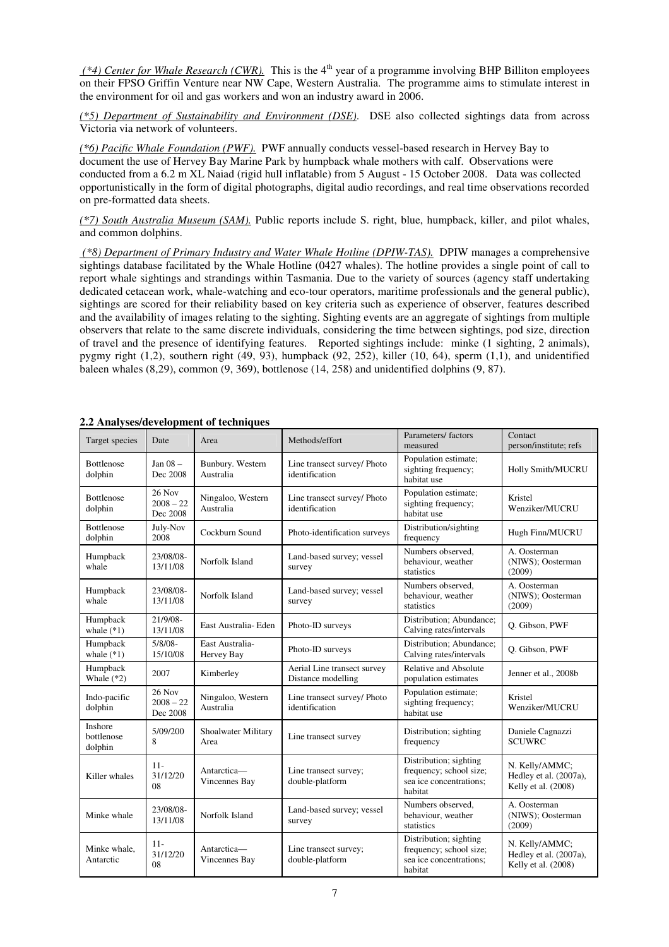*(\*4) Center for Whale Research (CWR)*. This is the 4<sup>th</sup> year of a programme involving BHP Billiton employees on their FPSO Griffin Venture near NW Cape, Western Australia. The programme aims to stimulate interest in the environment for oil and gas workers and won an industry award in 2006.

*(\*5) Department of Sustainability and Environment (DSE)*. DSE also collected sightings data from across Victoria via network of volunteers.

*(\*6) Pacific Whale Foundation (PWF).* PWF annually conducts vessel-based research in Hervey Bay to document the use of Hervey Bay Marine Park by humpback whale mothers with calf.Observations were conducted from a 6.2 m XL Naiad (rigid hull inflatable) from 5 August - 15 October 2008. Data was collected opportunistically in the form of digital photographs, digital audio recordings, and real time observations recorded on pre-formatted data sheets.

*(\*7) South Australia Museum (SAM).* Public reports include S. right, blue, humpback, killer, and pilot whales, and common dolphins.

 *(\*8) Department of Primary Industry and Water Whale Hotline (DPIW-TAS).* DPIW manages a comprehensive sightings database facilitated by the Whale Hotline (0427 whales). The hotline provides a single point of call to report whale sightings and strandings within Tasmania. Due to the variety of sources (agency staff undertaking dedicated cetacean work, whale-watching and eco-tour operators, maritime professionals and the general public), sightings are scored for their reliability based on key criteria such as experience of observer, features described and the availability of images relating to the sighting. Sighting events are an aggregate of sightings from multiple observers that relate to the same discrete individuals, considering the time between sightings, pod size, direction of travel and the presence of identifying features. Reported sightings include: minke (1 sighting, 2 animals), pygmy right (1,2), southern right (49, 93), humpback (92, 252), killer (10, 64), sperm (1,1), and unidentified baleen whales (8,29), common (9, 369), bottlenose (14, 258) and unidentified dolphins (9, 87).

| $2.2$ Analyses/development of techniques |                                   |                                |                                                   |                                                                                         |                                                                 |  |  |
|------------------------------------------|-----------------------------------|--------------------------------|---------------------------------------------------|-----------------------------------------------------------------------------------------|-----------------------------------------------------------------|--|--|
| Target species                           | Date                              | Area                           | Methods/effort                                    | Parameters/factors<br>measured                                                          | Contact<br>person/institute; refs                               |  |  |
| <b>Bottlenose</b><br>dolphin             | Jan $08 -$<br>Dec 2008            | Bunbury. Western<br>Australia  | Line transect survey/ Photo<br>identification     | Population estimate;<br>sighting frequency;<br>habitat use                              | Holly Smith/MUCRU                                               |  |  |
| <b>Bottlenose</b><br>dolphin             | 26 Nov<br>$2008 - 22$<br>Dec 2008 | Ningaloo, Western<br>Australia | Line transect survey/ Photo<br>identification     | Population estimate;<br>sighting frequency;<br>habitat use                              | Kristel<br>Wenziker/MUCRU                                       |  |  |
| <b>Bottlenose</b><br>dolphin             | July-Nov<br>2008                  | Cockburn Sound                 | Photo-identification surveys                      | Distribution/sighting<br>frequency                                                      | Hugh Finn/MUCRU                                                 |  |  |
| Humpback<br>whale                        | 23/08/08-<br>13/11/08             | Norfolk Island                 | Land-based survey; vessel<br>survey               | Numbers observed,<br>behaviour, weather<br>statistics                                   | A. Oosterman<br>(NIWS); Oosterman<br>(2009)                     |  |  |
| Humpback<br>whale                        | 23/08/08-<br>13/11/08             | Norfolk Island                 | Land-based survey; vessel<br>survey               | Numbers observed.<br>behaviour, weather<br>statistics                                   | A. Oosterman<br>(NIWS); Oosterman<br>(2009)                     |  |  |
| Humpback<br>whale $(*1)$                 | 21/9/08-<br>13/11/08              | East Australia- Eden           | Photo-ID surveys                                  | Distribution; Abundance;<br>Calving rates/intervals                                     | Q. Gibson, PWF                                                  |  |  |
| Humpback<br>whale $(*1)$                 | $5/8/08 -$<br>15/10/08            | East Australia-<br>Hervey Bay  | Photo-ID surveys                                  | Distribution; Abundance;<br>Calving rates/intervals                                     | Q. Gibson, PWF                                                  |  |  |
| Humpback<br>Whale $(*2)$                 | 2007                              | Kimberley                      | Aerial Line transect survey<br>Distance modelling | Relative and Absolute<br>population estimates                                           | Jenner et al., 2008b                                            |  |  |
| Indo-pacific<br>dolphin                  | 26 Nov<br>$2008 - 22$<br>Dec 2008 | Ningaloo, Western<br>Australia | Line transect survey/ Photo<br>identification     | Population estimate;<br>sighting frequency;<br>habitat use                              | Kristel<br>Wenziker/MUCRU                                       |  |  |
| Inshore<br>bottlenose<br>dolphin         | 5/09/200<br>8                     | Shoalwater Military<br>Area    | Line transect survey                              | Distribution; sighting<br>frequency                                                     | Daniele Cagnazzi<br><b>SCUWRC</b>                               |  |  |
| Killer whales                            | $11 -$<br>31/12/20<br>08          | Antarctica-<br>Vincennes Bay   | Line transect survey;<br>double-platform          | Distribution; sighting<br>frequency; school size;<br>sea ice concentrations;<br>habitat | N. Kelly/AMMC;<br>Hedley et al. (2007a),<br>Kelly et al. (2008) |  |  |
| Minke whale                              | 23/08/08-<br>13/11/08             | Norfolk Island                 | Land-based survey; vessel<br>survey               | Numbers observed.<br>behaviour, weather<br>statistics                                   | A. Oosterman<br>(NIWS); Oosterman<br>(2009)                     |  |  |
| Minke whale.<br>Antarctic                | $11 -$<br>31/12/20<br>08          | Antarctica-<br>Vincennes Bay   | Line transect survey;<br>double-platform          | Distribution; sighting<br>frequency; school size;<br>sea ice concentrations;<br>habitat | N. Kelly/AMMC;<br>Hedley et al. (2007a),<br>Kelly et al. (2008) |  |  |

# **2.2 Analyses/development of techniques**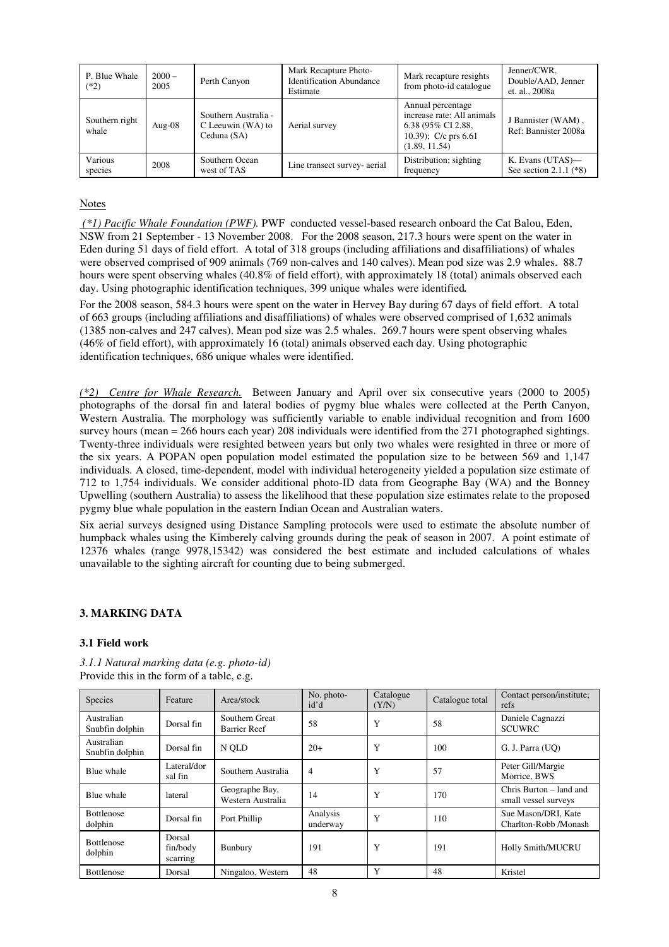| P. Blue Whale<br>$(*2)$ | $2000 -$<br>2005 | Perth Canyon                                             | Mark Recapture Photo-<br><b>Identification Abundance</b><br>Estimate | Mark recapture resights<br>from photo-id catalogue                                                               | Jenner/CWR,<br>Double/AAD, Jenner<br>et. al., 2008a |
|-------------------------|------------------|----------------------------------------------------------|----------------------------------------------------------------------|------------------------------------------------------------------------------------------------------------------|-----------------------------------------------------|
| Southern right<br>whale | Aug- $08$        | Southern Australia -<br>C Leeuwin (WA) to<br>Ceduna (SA) | Aerial survey                                                        | Annual percentage<br>increase rate: All animals<br>6.38 (95% CI 2.88,<br>10.39); $C/c$ prs 6.61<br>(1.89, 11.54) | J Bannister (WAM),<br>Ref: Bannister 2008a          |
| Various<br>species      | 2008             | Southern Ocean<br>west of TAS                            | Line transect survey- aerial                                         | Distribution; sighting<br>frequency                                                                              | K. Evans (UTAS)—<br>See section 2.1.1 $(*8)$        |

## Notes

 *(\*1) Pacific Whale Foundation (PWF).* PWF conducted vessel-based research onboard the Cat Balou, Eden, NSW from 21 September - 13 November 2008. For the 2008 season, 217.3 hours were spent on the water in Eden during 51 days of field effort. A total of 318 groups (including affiliations and disaffiliations) of whales were observed comprised of 909 animals (769 non-calves and 140 calves). Mean pod size was 2.9 whales. 88.7 hours were spent observing whales (40.8% of field effort), with approximately 18 (total) animals observed each day. Using photographic identification techniques, 399 unique whales were identified*.* 

For the 2008 season, 584.3 hours were spent on the water in Hervey Bay during 67 days of field effort. A total of 663 groups (including affiliations and disaffiliations) of whales were observed comprised of 1,632 animals (1385 non-calves and 247 calves). Mean pod size was 2.5 whales. 269.7 hours were spent observing whales (46% of field effort), with approximately 16 (total) animals observed each day. Using photographic identification techniques, 686 unique whales were identified.

*(\*2) Centre for Whale Research.* Between January and April over six consecutive years (2000 to 2005) photographs of the dorsal fin and lateral bodies of pygmy blue whales were collected at the Perth Canyon, Western Australia. The morphology was sufficiently variable to enable individual recognition and from 1600 survey hours (mean = 266 hours each year) 208 individuals were identified from the 271 photographed sightings. Twenty-three individuals were resighted between years but only two whales were resighted in three or more of the six years. A POPAN open population model estimated the population size to be between 569 and 1,147 individuals. A closed, time-dependent, model with individual heterogeneity yielded a population size estimate of 712 to 1,754 individuals. We consider additional photo-ID data from Geographe Bay (WA) and the Bonney Upwelling (southern Australia) to assess the likelihood that these population size estimates relate to the proposed pygmy blue whale population in the eastern Indian Ocean and Australian waters.

Six aerial surveys designed using Distance Sampling protocols were used to estimate the absolute number of humpback whales using the Kimberely calving grounds during the peak of season in 2007. A point estimate of 12376 whales (range 9978,15342) was considered the best estimate and included calculations of whales unavailable to the sighting aircraft for counting due to being submerged.

## **3. MARKING DATA**

#### **3.1 Field work**

| <b>Species</b>                | Feature                        | Area/stock                            | No. photo-<br>id'd   | Catalogue<br>(Y/N) | Catalogue total | Contact person/institute;<br>refs               |
|-------------------------------|--------------------------------|---------------------------------------|----------------------|--------------------|-----------------|-------------------------------------------------|
| Australian<br>Snubfin dolphin | Dorsal fin                     | Southern Great<br><b>Barrier Reef</b> | 58                   | Y                  | 58              | Daniele Cagnazzi<br><b>SCUWRC</b>               |
| Australian<br>Snubfin dolphin | Dorsal fin                     | N OLD                                 | $20+$                | Y                  | 100             | G. J. Parra (UO)                                |
| Blue whale                    | Lateral/dor<br>sal fin         | Southern Australia                    | 4                    | Y                  | 57              | Peter Gill/Margie<br>Morrice, BWS               |
| Blue whale                    | lateral                        | Geographe Bay,<br>Western Australia   | 14                   | Y                  | 170             | Chris Burton – land and<br>small vessel surveys |
| <b>Bottlenose</b><br>dolphin  | Dorsal fin                     | Port Phillip                          | Analysis<br>underway | Y                  | 110             | Sue Mason/DRI, Kate<br>Charlton-Robb /Monash    |
| <b>Bottlenose</b><br>dolphin  | Dorsal<br>fin/body<br>scarring | Bunbury                               | 191                  | Y                  | 191             | <b>Holly Smith/MUCRU</b>                        |
| <b>Bottlenose</b>             | Dorsal                         | Ningaloo, Western                     | 48                   | Y                  | 48              | Kristel                                         |

*3.1.1 Natural marking data (e.g. photo-id)*  Provide this in the form of a table, e.g.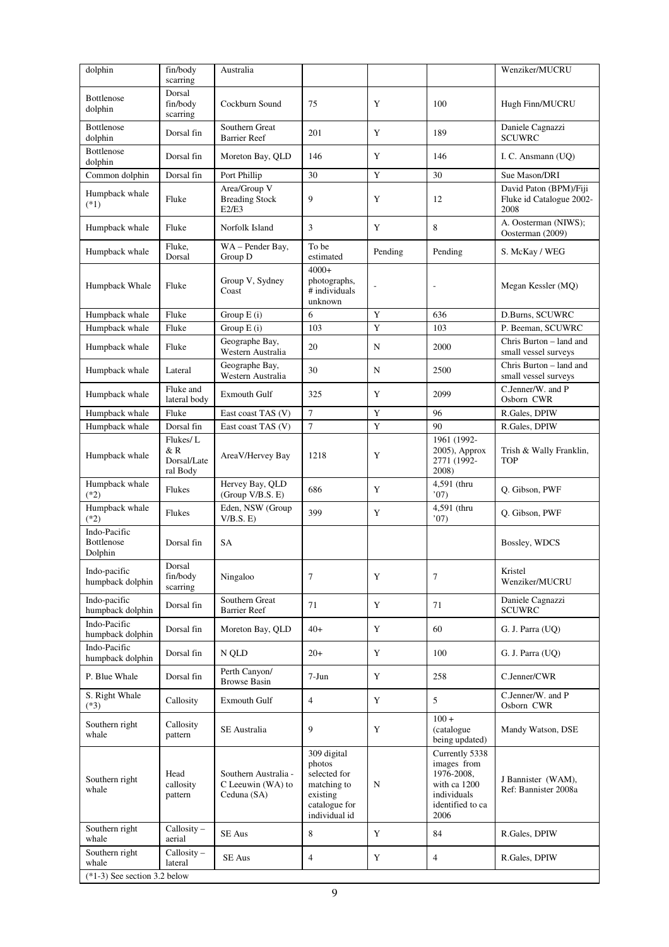| dolphin                                      | fin/body                                   | Australia                                                |                                                                                                    |             |                                                                                                        | Wenziker/MUCRU                                             |
|----------------------------------------------|--------------------------------------------|----------------------------------------------------------|----------------------------------------------------------------------------------------------------|-------------|--------------------------------------------------------------------------------------------------------|------------------------------------------------------------|
|                                              | scarring<br>Dorsal                         |                                                          |                                                                                                    |             |                                                                                                        |                                                            |
| <b>Bottlenose</b><br>dolphin                 | fin/body<br>scarring                       | Cockburn Sound                                           | 75                                                                                                 | Y           | 100                                                                                                    | Hugh Finn/MUCRU                                            |
| <b>Bottlenose</b><br>dolphin                 | Dorsal fin                                 | Southern Great<br><b>Barrier Reef</b>                    | 201                                                                                                | Y           | 189                                                                                                    | Daniele Cagnazzi<br><b>SCUWRC</b>                          |
| Bottlenose<br>dolphin                        | Dorsal fin                                 | Moreton Bay, QLD                                         | 146                                                                                                | Y           | 146                                                                                                    | I. C. Ansmann (UQ)                                         |
| Common dolphin                               | Dorsal fin                                 | Port Phillip                                             | 30                                                                                                 | $\mathbf Y$ | 30                                                                                                     | Sue Mason/DRI                                              |
| Humpback whale<br>$(*1)$                     | Fluke                                      | Area/Group V<br><b>Breading Stock</b><br>E2/E3           | 9                                                                                                  | Y           | 12                                                                                                     | David Paton (BPM)/Fiji<br>Fluke id Catalogue 2002-<br>2008 |
| Humpback whale                               | Fluke                                      | Norfolk Island                                           | 3                                                                                                  | Y           | 8                                                                                                      | A. Oosterman (NIWS);<br>Oosterman (2009)                   |
| Humpback whale                               | Fluke,<br>Dorsal                           | WA-Pender Bay,<br>Group D                                | To be<br>estimated                                                                                 | Pending     | Pending                                                                                                | S. McKay / WEG                                             |
| Humpback Whale                               | Fluke                                      | Group V, Sydney<br>Coast                                 | $4000+$<br>photographs,<br>$#$ individuals<br>unknown                                              |             |                                                                                                        | Megan Kessler (MQ)                                         |
| Humpback whale                               | Fluke                                      | Group $E(i)$                                             | 6                                                                                                  | Y           | 636                                                                                                    | D.Burns, SCUWRC                                            |
| Humpback whale                               | Fluke                                      | Group E (i)                                              | 103                                                                                                | Y           | 103                                                                                                    | P. Beeman, SCUWRC                                          |
| Humpback whale                               | Fluke                                      | Geographe Bay,<br>Western Australia                      | 20                                                                                                 | N           | 2000                                                                                                   | Chris Burton - land and<br>small vessel surveys            |
| Humpback whale                               | Lateral                                    | Geographe Bay,<br>Western Australia                      | 30                                                                                                 | N           | 2500                                                                                                   | Chris Burton - land and<br>small vessel surveys            |
| Humpback whale                               | Fluke and<br>lateral body                  | <b>Exmouth Gulf</b>                                      | 325                                                                                                | Y           | 2099                                                                                                   | C.Jenner/W. and P<br>Osborn CWR                            |
| Humpback whale                               | Fluke                                      | East coast TAS (V)                                       | $\overline{7}$                                                                                     | Y           | 96                                                                                                     | R.Gales, DPIW                                              |
| Humpback whale                               | Dorsal fin                                 | East coast TAS (V)                                       | $\overline{7}$                                                                                     | $\mathbf Y$ | 90                                                                                                     | R.Gales, DPIW                                              |
| Humpback whale                               | Flukes/L<br>& R<br>Dorsal/Late<br>ral Body | AreaV/Hervey Bay                                         | 1218                                                                                               | Y           | 1961 (1992-<br>2005), Approx<br>2771 (1992-<br>2008)                                                   | Trish & Wally Franklin,<br><b>TOP</b>                      |
| Humpback whale<br>$(*2)$                     | Flukes                                     | Hervey Bay, QLD<br>(Group V/B.S. E)                      | 686                                                                                                | Y           | 4,591 (thru<br>'07)                                                                                    | Q. Gibson, PWF                                             |
| Humpback whale<br>$(*2)$                     | Flukes                                     | Eden, NSW (Group<br>V/B.S. E)                            | 399                                                                                                | $\mathbf Y$ | 4,591 (thru<br>'07)                                                                                    | Q. Gibson, PWF                                             |
| Indo-Pacific<br><b>Bottlenose</b><br>Dolphin | Dorsal fin                                 | SA                                                       |                                                                                                    |             |                                                                                                        | Bossley, WDCS                                              |
| Indo-pacific<br>humpback dolphin             | Dorsal<br>fin/body<br>scarring             | Ningaloo                                                 | 7                                                                                                  | Y           | 7                                                                                                      | Kristel<br>Wenziker/MUCRU                                  |
| Indo-pacific<br>humpback dolphin             | Dorsal fin                                 | Southern Great<br><b>Barrier Reef</b>                    | 71                                                                                                 | Y           | 71                                                                                                     | Daniele Cagnazzi<br><b>SCUWRC</b>                          |
| Indo-Pacific<br>humpback dolphin             | Dorsal fin                                 | Moreton Bay, QLD                                         | $40+$                                                                                              | Y           | 60                                                                                                     | G. J. Parra (UQ)                                           |
| Indo-Pacific<br>humpback dolphin             | Dorsal fin                                 | N QLD                                                    | $20+$                                                                                              | Y           | 100                                                                                                    | G. J. Parra (UQ)                                           |
| P. Blue Whale                                | Dorsal fin                                 | Perth Canyon/<br><b>Browse Basin</b>                     | $7-Jun$                                                                                            | Y           | 258                                                                                                    | C.Jenner/CWR                                               |
| S. Right Whale<br>$(*3)$                     | Callosity                                  | Exmouth Gulf                                             | 4                                                                                                  | Y           | 5                                                                                                      | C.Jenner/W. and P<br>Osborn CWR                            |
| Southern right<br>whale                      | Callosity<br>pattern                       | SE Australia                                             | 9                                                                                                  | Y           | $100 +$<br>(catalogue<br>being updated)                                                                | Mandy Watson, DSE                                          |
| Southern right<br>whale                      | Head<br>callosity<br>pattern               | Southern Australia -<br>C Leeuwin (WA) to<br>Ceduna (SA) | 309 digital<br>photos<br>selected for<br>matching to<br>existing<br>catalogue for<br>individual id | N           | Currently 5338<br>images from<br>1976-2008,<br>with ca 1200<br>individuals<br>identified to ca<br>2006 | J Bannister (WAM),<br>Ref: Bannister 2008a                 |
| Southern right<br>whale                      | $Callosity -$<br>aerial                    | SE Aus                                                   | 8                                                                                                  | Y           | 84                                                                                                     | R.Gales, DPIW                                              |
| Southern right<br>whale                      | $Callosity -$<br>lateral                   | SE Aus                                                   | $\overline{4}$                                                                                     | Y           | $\overline{4}$                                                                                         | R.Gales, DPIW                                              |
| $(*1-3)$ See section 3.2 below               |                                            |                                                          |                                                                                                    |             |                                                                                                        |                                                            |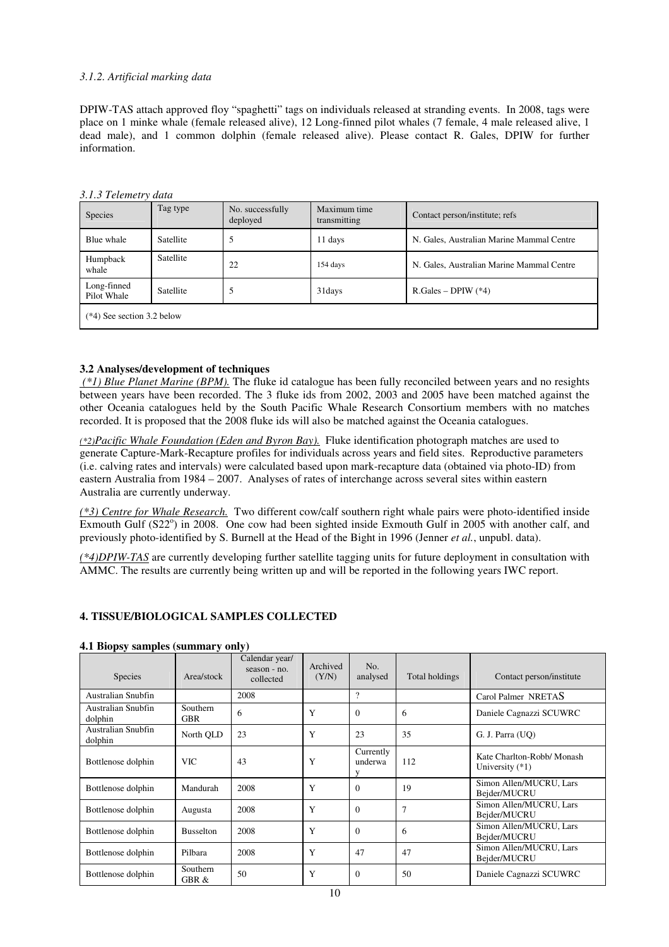## *3.1.2. Artificial marking data*

DPIW-TAS attach approved floy "spaghetti" tags on individuals released at stranding events. In 2008, tags were place on 1 minke whale (female released alive), 12 Long-finned pilot whales (7 female, 4 male released alive, 1 dead male), and 1 common dolphin (female released alive). Please contact R. Gales, DPIW for further information.

| 3.1.3 Telemetry data         |                  |                              |                              |                                           |  |
|------------------------------|------------------|------------------------------|------------------------------|-------------------------------------------|--|
| Species                      | Tag type         | No. successfully<br>deployed | Maximum time<br>transmitting | Contact person/institute; refs            |  |
| Blue whale                   | Satellite        | 5                            | 11 days                      | N. Gales, Australian Marine Mammal Centre |  |
| Humpback<br>whale            | <b>Satellite</b> | 22                           | 154 days                     | N. Gales, Australian Marine Mammal Centre |  |
| Long-finned<br>Pilot Whale   | Satellite        | 5                            | 31 days                      | $R.Gales – DPIW (*4)$                     |  |
| $(*4)$ See section 3.2 below |                  |                              |                              |                                           |  |
|                              |                  |                              |                              |                                           |  |

*3.1.3 Telemetry data* 

#### **3.2 Analyses/development of techniques**

 *(\*1) Blue Planet Marine (BPM).* The fluke id catalogue has been fully reconciled between years and no resights between years have been recorded. The 3 fluke ids from 2002, 2003 and 2005 have been matched against the other Oceania catalogues held by the South Pacific Whale Research Consortium members with no matches recorded. It is proposed that the 2008 fluke ids will also be matched against the Oceania catalogues.

*(\*2)Pacific Whale Foundation (Eden and Byron Bay).* Fluke identification photograph matches are used to generate Capture-Mark-Recapture profiles for individuals across years and field sites. Reproductive parameters (i.e. calving rates and intervals) were calculated based upon mark-recapture data (obtained via photo-ID) from eastern Australia from 1984 – 2007. Analyses of rates of interchange across several sites within eastern Australia are currently underway.

*(\*3) Centre for Whale Research.* Two different cow/calf southern right whale pairs were photo-identified inside Exmouth Gulf (S22°) in 2008. One cow had been sighted inside Exmouth Gulf in 2005 with another calf, and previously photo-identified by S. Burnell at the Head of the Bight in 1996 (Jenner *et al.*, unpubl. data).

*(\*4)DPIW-TAS* are currently developing further satellite tagging units for future deployment in consultation with AMMC. The results are currently being written up and will be reported in the following years IWC report.

#### **4. TISSUE/BIOLOGICAL SAMPLES COLLECTED**

|  |  |  | 4.1 Biopsy samples (summary only) |  |
|--|--|--|-----------------------------------|--|
|--|--|--|-----------------------------------|--|

| Species                       | Area/stock             | Calendar year/<br>Archived<br>No.<br>$season - no.$<br>(Y/N)<br>analysed<br>collected |   | Total holdings            | Contact person/institute |                                                 |
|-------------------------------|------------------------|---------------------------------------------------------------------------------------|---|---------------------------|--------------------------|-------------------------------------------------|
| Australian Snubfin            |                        | 2008                                                                                  |   | $\mathcal{P}$             |                          | Carol Palmer NRETAS                             |
| Australian Snubfin<br>dolphin | Southern<br><b>GBR</b> | 6                                                                                     | Y | $\Omega$                  | 6                        | Daniele Cagnazzi SCUWRC                         |
| Australian Snubfin<br>dolphin | North QLD              | 23                                                                                    | Y | 23                        | 35                       | G. J. Parra (UO)                                |
| Bottlenose dolphin            | <b>VIC</b>             | 43                                                                                    | Y | Currently<br>underwa<br>V | 112                      | Kate Charlton-Robb/ Monash<br>University $(*1)$ |
| Bottlenose dolphin            | Mandurah               | 2008                                                                                  | Y | $\Omega$                  | 19                       | Simon Allen/MUCRU, Lars<br>Bejder/MUCRU         |
| Bottlenose dolphin            | Augusta                | 2008                                                                                  | Y | $\Omega$                  | $\overline{7}$           | Simon Allen/MUCRU, Lars<br>Bejder/MUCRU         |
| Bottlenose dolphin            | <b>Busselton</b>       | 2008                                                                                  | Y | $\Omega$                  | 6                        | Simon Allen/MUCRU, Lars<br>Bejder/MUCRU         |
| Bottlenose dolphin            | Pilbara                | 2008                                                                                  | Y | 47                        | 47                       | Simon Allen/MUCRU, Lars<br>Bejder/MUCRU         |
| Bottlenose dolphin            | Southern<br>GBR &      | 50                                                                                    | Y | $\Omega$                  | 50                       | Daniele Cagnazzi SCUWRC                         |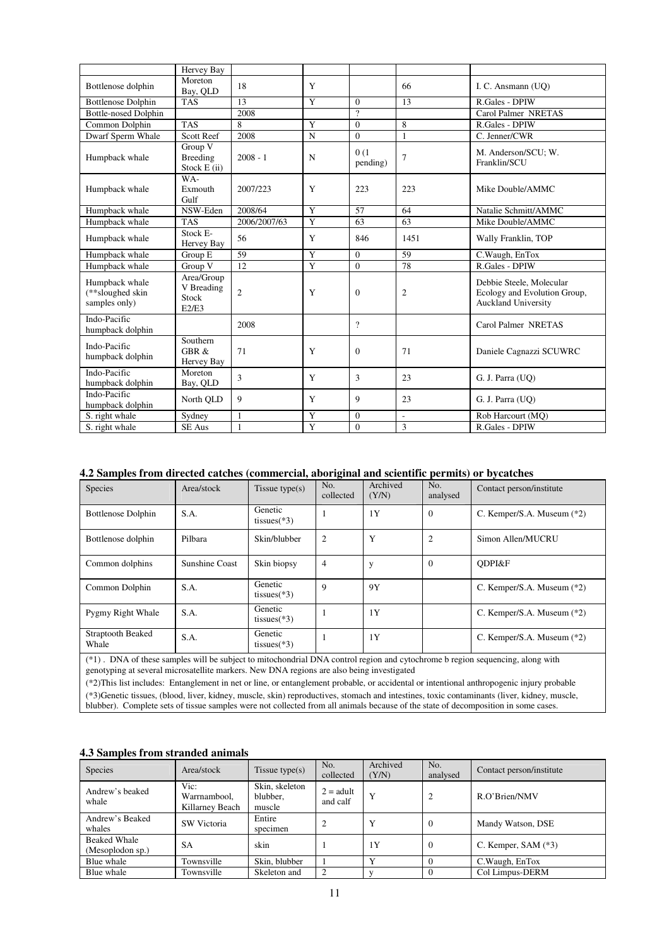|                                                     | Hervey Bay                                 |                |                |                  |                          |                                                                                        |
|-----------------------------------------------------|--------------------------------------------|----------------|----------------|------------------|--------------------------|----------------------------------------------------------------------------------------|
| Bottlenose dolphin                                  | Moreton<br>Bay, QLD                        | 18             | Y              |                  | 66                       | I. C. Ansmann (UO)                                                                     |
| <b>Bottlenose Dolphin</b>                           | <b>TAS</b>                                 | 13             | Y              | $\Omega$         | 13                       | R.Gales - DPIW                                                                         |
| <b>Bottle-nosed Dolphin</b>                         |                                            | 2008           |                | $\gamma$         |                          | Carol Palmer NRETAS                                                                    |
| Common Dolphin                                      | <b>TAS</b>                                 | 8              | Y              | $\Omega$         | 8                        | R.Gales - DPIW                                                                         |
| Dwarf Sperm Whale                                   | <b>Scott Reef</b>                          | 2008           | $\mathbf N$    | $\Omega$         | $\mathbf{1}$             | C. Jenner/CWR                                                                          |
| Humpback whale                                      | Group V<br>Breeding<br>Stock E(ii)         | $2008 - 1$     | N              | 0(1)<br>pending) | $\overline{7}$           | M. Anderson/SCU; W.<br>Franklin/SCU                                                    |
| Humpback whale                                      | WA-<br>Exmouth<br>Gulf                     | 2007/223       | Y              | 223              | 223                      | Mike Double/AMMC                                                                       |
| Humpback whale                                      | NSW-Eden                                   | 2008/64        | Y              | 57               | 64                       | Natalie Schmitt/AMMC                                                                   |
| Humpback whale                                      | <b>TAS</b>                                 | 2006/2007/63   | Y              | 63               | 63                       | Mike Double/AMMC                                                                       |
| Humpback whale                                      | Stock E-<br>Hervey Bay                     | 56             | Y              | 846              | 1451                     | Wally Franklin, TOP                                                                    |
| Humpback whale                                      | Group E                                    | 59             | Y              | $\Omega$         | 59                       | C. Waugh, EnTox                                                                        |
| Humpback whale                                      | Group V                                    | 12             | $\overline{Y}$ | $\Omega$         | 78                       | R.Gales - DPIW                                                                         |
| Humpback whale<br>(**sloughed skin<br>samples only) | Area/Group<br>V Breading<br>Stock<br>E2/E3 | $\overline{c}$ | Y              | $\Omega$         | $\overline{2}$           | Debbie Steele, Molecular<br>Ecology and Evolution Group,<br><b>Auckland University</b> |
| Indo-Pacific<br>humpback dolphin                    |                                            | 2008           |                | $\gamma$         |                          | Carol Palmer NRETAS                                                                    |
| Indo-Pacific<br>humpback dolphin                    | Southern<br>GBR &<br>Hervey Bay            | 71             | Y              | $\Omega$         | 71                       | Daniele Cagnazzi SCUWRC                                                                |
| Indo-Pacific<br>humpback dolphin                    | Moreton<br>Bay, QLD                        | 3              | Y              | 3                | 23                       | G. J. Parra (UO)                                                                       |
| Indo-Pacific<br>humpback dolphin                    | North QLD                                  | 9              | Y              | $\mathbf{Q}$     | 23                       | G. J. Parra (UQ)                                                                       |
| S. right whale                                      | Sydney                                     | 1              | Y              | $\Omega$         | $\overline{\phantom{a}}$ | Rob Harcourt (MQ)                                                                      |
| S. right whale                                      | <b>SE Aus</b>                              | 1              | Y              | $\Omega$         | 3                        | R.Gales - DPIW                                                                         |

## **4.2 Samples from directed catches (commercial, aboriginal and scientific permits) or bycatches**

| <b>Species</b>                                                                                                                                                                                                                                                                                                                                                                                                                                                                                                          | Area/stock     | Tissue type $(s)$         | No.<br>collected | Archived<br>(Y/N) | No.<br>analysed | Contact person/institute   |  |  |  |  |
|-------------------------------------------------------------------------------------------------------------------------------------------------------------------------------------------------------------------------------------------------------------------------------------------------------------------------------------------------------------------------------------------------------------------------------------------------------------------------------------------------------------------------|----------------|---------------------------|------------------|-------------------|-----------------|----------------------------|--|--|--|--|
| <b>Bottlenose Dolphin</b>                                                                                                                                                                                                                                                                                                                                                                                                                                                                                               | S.A.           | Genetic<br>tissues $(*3)$ |                  | 1Y                | $\Omega$        | C. Kemper/S.A. Museum (*2) |  |  |  |  |
| Bottlenose dolphin                                                                                                                                                                                                                                                                                                                                                                                                                                                                                                      | Pilbara        | Skin/blubber              | 2                | Y                 | $\overline{2}$  | Simon Allen/MUCRU          |  |  |  |  |
| Common dolphins                                                                                                                                                                                                                                                                                                                                                                                                                                                                                                         | Sunshine Coast | Skin biopsy               | $\overline{4}$   | y                 | $\Omega$        | ODPI&F                     |  |  |  |  |
| Common Dolphin                                                                                                                                                                                                                                                                                                                                                                                                                                                                                                          | S.A.           | Genetic<br>tissues $(*3)$ | 9                | 9Y                |                 | C. Kemper/S.A. Museum (*2) |  |  |  |  |
| Pygmy Right Whale                                                                                                                                                                                                                                                                                                                                                                                                                                                                                                       | S.A.           | Genetic<br>tissues $(*3)$ |                  | 1Y                |                 | C. Kemper/S.A. Museum (*2) |  |  |  |  |
| <b>Straptooth Beaked</b><br>Whale                                                                                                                                                                                                                                                                                                                                                                                                                                                                                       | S.A.           | Genetic<br>tissues $(*3)$ |                  | 1Y                |                 | C. Kemper/S.A. Museum (*2) |  |  |  |  |
| (*1). DNA of these samples will be subject to mitochondrial DNA control region and cytochrome b region sequencing, along with<br>genotyping at several microsatellite markers. New DNA regions are also being investigated<br>(*2)This list includes: Entanglement in net or line, or entanglement probable, or accidental or intentional anthropogenic injury probable<br>(*3) Genetic tissues, (blood, liver, kidney, muscle, skin) reproductives, stomach and intestines, toxic contaminants (liver, kidney, muscle, |                |                           |                  |                   |                 |                            |  |  |  |  |
|                                                                                                                                                                                                                                                                                                                                                                                                                                                                                                                         |                |                           |                  |                   |                 |                            |  |  |  |  |

blubber). Complete sets of tissue samples were not collected from all animals because of the state of decomposition in some cases.

## **4.3 Samples from stranded animals**

| Species                                 | Area/stock                              | Tissue type $(s)$                    | No.<br>collected        | Archived<br>(Y/N) | No.<br>analysed | Contact person/institute |
|-----------------------------------------|-----------------------------------------|--------------------------------------|-------------------------|-------------------|-----------------|--------------------------|
| Andrew's beaked<br>whale                | Vic:<br>Warrnambool,<br>Killarney Beach | Skin, skeleton<br>blubber,<br>muscle | $2 =$ adult<br>and calf | Y                 | $\overline{c}$  | R.O'Brien/NMV            |
| Andrew's Beaked<br>whales               | SW Victoria                             | Entire<br>specimen                   |                         | $\mathbf v$       | $\overline{0}$  | Mandy Watson, DSE        |
| <b>Beaked Whale</b><br>(Mesoplodon sp.) | <b>SA</b>                               | skin                                 |                         | 1Y                | $\Omega$        | C. Kemper, SAM $(*3)$    |
| Blue whale                              | Townsville                              | Skin, blubber                        |                         | $\mathbf{v}$      |                 | C. Waugh, EnTox          |
| Blue whale                              | Townsville                              | Skeleton and                         |                         |                   |                 | Col Limpus-DERM          |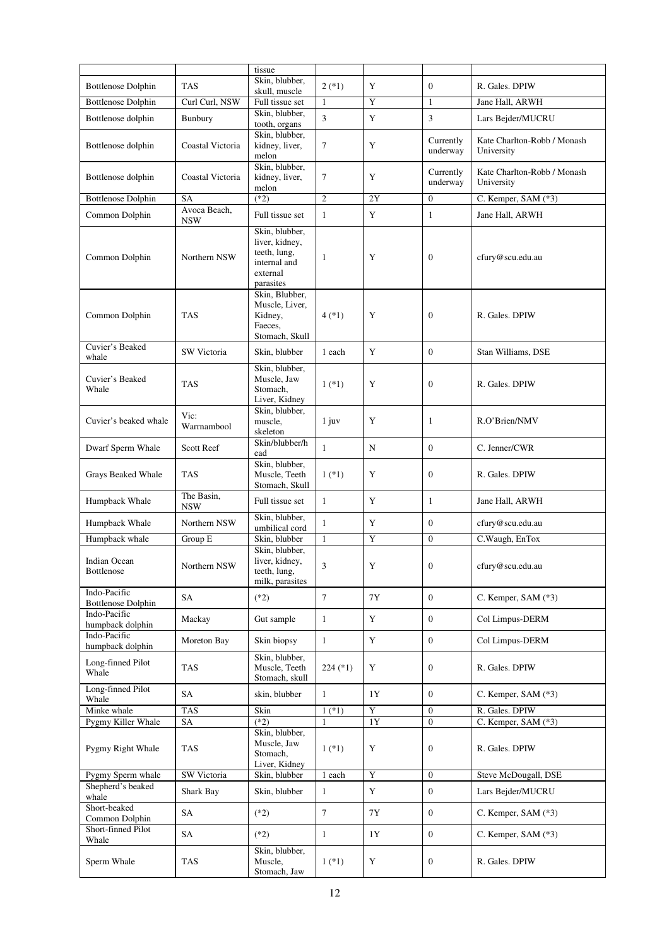|                                           |                            | tissue                                                                                    |                 |             |                       |                                           |
|-------------------------------------------|----------------------------|-------------------------------------------------------------------------------------------|-----------------|-------------|-----------------------|-------------------------------------------|
| <b>Bottlenose Dolphin</b>                 | <b>TAS</b>                 | Skin, blubber,                                                                            | $2(*)$          | Y           | $\overline{0}$        | R. Gales. DPIW                            |
|                                           |                            | skull, muscle                                                                             |                 | Y           | $\mathbf{1}$          |                                           |
| <b>Bottlenose Dolphin</b>                 | Curl Curl, NSW             | Full tissue set<br>Skin, blubber,                                                         | 1               |             |                       | Jane Hall, ARWH                           |
| Bottlenose dolphin                        | Bunbury                    | tooth, organs                                                                             | 3               | Y           | 3                     | Lars Bejder/MUCRU                         |
| Bottlenose dolphin                        | Coastal Victoria           | Skin, blubber,<br>kidney, liver,<br>melon                                                 | $\tau$          | Y           | Currently<br>underway | Kate Charlton-Robb / Monash<br>University |
| Bottlenose dolphin                        | Coastal Victoria           | Skin, blubber,<br>kidney, liver,<br>melon                                                 | $\tau$          | Y           | Currently<br>underway | Kate Charlton-Robb / Monash<br>University |
| <b>Bottlenose Dolphin</b>                 | SA                         | $(*2)$                                                                                    | $\overline{c}$  | 2Y          | $\boldsymbol{0}$      | C. Kemper, SAM (*3)                       |
| Common Dolphin                            | Avoca Beach,<br><b>NSW</b> | Full tissue set                                                                           | $\mathbf{1}$    | Y           | $\mathbf{1}$          | Jane Hall, ARWH                           |
| Common Dolphin                            | Northern NSW               | Skin, blubber,<br>liver, kidney,<br>teeth, lung,<br>internal and<br>external<br>parasites | 1               | Y           | $\boldsymbol{0}$      | cfury@scu.edu.au                          |
| Common Dolphin                            | <b>TAS</b>                 | Skin, Blubber,<br>Muscle, Liver,<br>Kidney,<br>Faeces,<br>Stomach, Skull                  | $4$ (*1)        | Y           | $\overline{0}$        | R. Gales. DPIW                            |
| Cuvier's Beaked<br>whale                  | SW Victoria                | Skin, blubber                                                                             | 1 each          | Y           | $\boldsymbol{0}$      | Stan Williams, DSE                        |
| Cuvier's Beaked<br>Whale                  | <b>TAS</b>                 | Skin, blubber,<br>Muscle, Jaw<br>Stomach,<br>Liver, Kidney                                | $1$ $(*1)$      | Y           | 0                     | R. Gales. DPIW                            |
| Cuvier's beaked whale                     | Vic:<br>Warrnambool        | Skin, blubber,<br>muscle,<br>skeleton                                                     | $1$ juv         | Y           | $\mathbf{1}$          | R.O'Brien/NMV                             |
| Dwarf Sperm Whale                         | <b>Scott Reef</b>          | Skin/blubber/h<br>ead                                                                     | $\mathbf{1}$    | N           | $\overline{0}$        | C. Jenner/CWR                             |
| Grays Beaked Whale                        | <b>TAS</b>                 | Skin, blubber,<br>Muscle, Teeth<br>Stomach, Skull                                         | $1$ (*1)        | Y           | $\overline{0}$        | R. Gales. DPIW                            |
| Humpback Whale                            | The Basin,<br><b>NSW</b>   | Full tissue set                                                                           | $\mathbf{1}$    | Y           | $\mathbf{1}$          | Jane Hall, ARWH                           |
| Humpback Whale                            | Northern NSW               | Skin, blubber,<br>umbilical cord                                                          | $\mathbf{1}$    | Y           | $\overline{0}$        | cfury@scu.edu.au                          |
| Humpback whale                            | Group E                    | Skin, blubber                                                                             | $\mathbf{1}$    | Y           | $\overline{0}$        | C.Waugh, EnTox                            |
| Indian Ocean<br>Bottlenose                | Northern NSW               | Skin, blubber,<br>liver, kidney,<br>teeth, lung,<br>milk, parasites                       | 3               | Y           | 0                     | cfury@scu.edu.au                          |
| Indo-Pacific<br><b>Bottlenose Dolphin</b> | SA                         | $(*2)$                                                                                    | $7\phantom{.0}$ | 7Y          | $\overline{0}$        | C. Kemper, SAM $(*3)$                     |
| Indo-Pacific<br>humpback dolphin          | Mackay                     | Gut sample                                                                                | $\mathbf{1}$    | Y           | $\boldsymbol{0}$      | Col Limpus-DERM                           |
| Indo-Pacific<br>humpback dolphin          | Moreton Bay                | Skin biopsy                                                                               | $\mathbf{1}$    | $\mathbf Y$ | $\overline{0}$        | Col Limpus-DERM                           |
| Long-finned Pilot<br>Whale                | <b>TAS</b>                 | Skin, blubber,<br>Muscle, Teeth<br>Stomach, skull                                         | $224$ (*1)      | Y           | $\boldsymbol{0}$      | R. Gales. DPIW                            |
| Long-finned Pilot<br>Whale                | SA                         | skin, blubber                                                                             | $\mathbf{1}$    | 1Y          | $\boldsymbol{0}$      | C. Kemper, SAM (*3)                       |
| Minke whale                               | TAS                        | Skin                                                                                      | $1$ (*1)        | Y           | $\boldsymbol{0}$      | R. Gales. DPIW                            |
| Pygmy Killer Whale                        | SA                         | $(*2)$                                                                                    |                 | 1Y          | $\overline{0}$        | C. Kemper, SAM (*3)                       |
| Pygmy Right Whale                         | <b>TAS</b>                 | Skin, blubber,<br>Muscle, Jaw<br>Stomach,<br>Liver, Kidney                                | $1$ (*1)        | Y           | 0                     | R. Gales. DPIW                            |
| Pygmy Sperm whale                         | SW Victoria                | Skin, blubber                                                                             | 1 each          | $\mathbf Y$ | $\boldsymbol{0}$      | Steve McDougall, DSE                      |
| Shepherd's beaked<br>whale                | Shark Bay                  | Skin, blubber                                                                             | $\mathbf{1}$    | $\mathbf Y$ | $\boldsymbol{0}$      | Lars Bejder/MUCRU                         |
| Short-beaked<br>Common Dolphin            | SA                         | $(*2)$                                                                                    | $\tau$          | 7Y          | $\overline{0}$        | C. Kemper, SAM (*3)                       |
| Short-finned Pilot<br>Whale               | SA                         | $(*2)$                                                                                    | $\mathbf{1}$    | 1Y          | $\boldsymbol{0}$      | C. Kemper, SAM (*3)                       |
| Sperm Whale                               | <b>TAS</b>                 | Skin, blubber,<br>Muscle,<br>Stomach, Jaw                                                 | $1$ (*1)        | Y           | $\boldsymbol{0}$      | R. Gales. DPIW                            |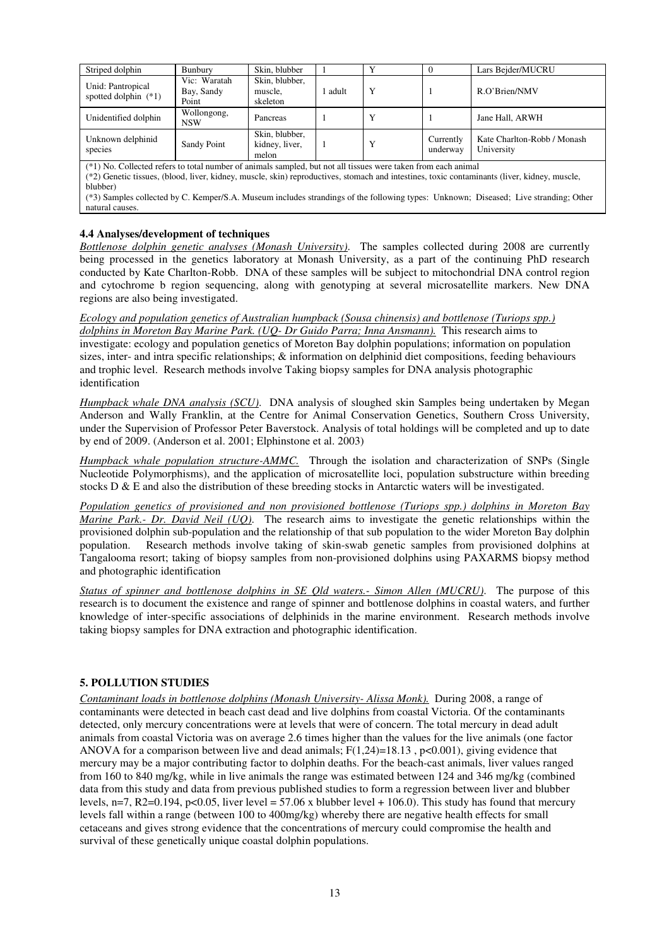| Striped dolphin                             | Bunbury                             | Skin, blubber                             |       |         |                       | Lars Bejder/MUCRU                         |
|---------------------------------------------|-------------------------------------|-------------------------------------------|-------|---------|-----------------------|-------------------------------------------|
| Unid: Pantropical<br>spotted dolphin $(*1)$ | Vic: Waratah<br>Bay, Sandy<br>Point | Skin, blubber,<br>muscle.<br>skeleton     | adult | $\bf v$ |                       | R.O'Brien/NMV                             |
| Unidentified dolphin                        | Wollongong,<br>NSW                  | Pancreas                                  |       |         |                       | Jane Hall, ARWH                           |
| Unknown delphinid<br>species                | Sandy Point                         | Skin, blubber,<br>kidney, liver,<br>melon |       |         | Currently<br>underway | Kate Charlton-Robb / Monash<br>University |
|                                             |                                     | .                                         | .     |         |                       |                                           |

(\*1) No. Collected refers to total number of animals sampled, but not all tissues were taken from each animal (\*2) Genetic tissues, (blood, liver, kidney, muscle, skin) reproductives, stomach and intestines, toxic contaminants (liver, kidney, muscle, blubber)

(\*3) Samples collected by C. Kemper/S.A. Museum includes strandings of the following types: Unknown; Diseased; Live stranding; Other natural causes.

#### **4.4 Analyses/development of techniques**

*Bottlenose dolphin genetic analyses (Monash University)*. The samples collected during 2008 are currently being processed in the genetics laboratory at Monash University, as a part of the continuing PhD research conducted by Kate Charlton-Robb. DNA of these samples will be subject to mitochondrial DNA control region and cytochrome b region sequencing, along with genotyping at several microsatellite markers. New DNA regions are also being investigated.

*Ecology and population genetics of Australian humpback (Sousa chinensis) and bottlenose (Turiops spp.) dolphins in Moreton Bay Marine Park. (UQ- Dr Guido Parra; Inna Ansmann).* This research aims to investigate: ecology and population genetics of Moreton Bay dolphin populations; information on population sizes, inter- and intra specific relationships; & information on delphinid diet compositions, feeding behaviours and trophic level. Research methods involve Taking biopsy samples for DNA analysis photographic identification

*Humpback whale DNA analysis (SCU)*. DNA analysis of sloughed skin Samples being undertaken by Megan Anderson and Wally Franklin, at the Centre for Animal Conservation Genetics, Southern Cross University, under the Supervision of Professor Peter Baverstock. Analysis of total holdings will be completed and up to date by end of 2009. (Anderson et al. 2001; Elphinstone et al. 2003)

*Humpback whale population structure-AMMC.* Through the isolation and characterization of SNPs (Single Nucleotide Polymorphisms), and the application of microsatellite loci, population substructure within breeding stocks  $D \& E$  and also the distribution of these breeding stocks in Antarctic waters will be investigated.

*Population genetics of provisioned and non provisioned bottlenose (Turiops spp.) dolphins in Moreton Bay Marine Park.- Dr. David Neil (UQ)*. The research aims to investigate the genetic relationships within the provisioned dolphin sub-population and the relationship of that sub population to the wider Moreton Bay dolphin population. Research methods involve taking of skin-swab genetic samples from provisioned dolphins at Tangalooma resort; taking of biopsy samples from non-provisioned dolphins using PAXARMS biopsy method and photographic identification

*Status of spinner and bottlenose dolphins in SE Qld waters.- Simon Allen (MUCRU)*. The purpose of this research is to document the existence and range of spinner and bottlenose dolphins in coastal waters, and further knowledge of inter-specific associations of delphinids in the marine environment. Research methods involve taking biopsy samples for DNA extraction and photographic identification.

## **5. POLLUTION STUDIES**

*Contaminant loads in bottlenose dolphins (Monash University- Alissa Monk).* During 2008, a range of contaminants were detected in beach cast dead and live dolphins from coastal Victoria. Of the contaminants detected, only mercury concentrations were at levels that were of concern. The total mercury in dead adult animals from coastal Victoria was on average 2.6 times higher than the values for the live animals (one factor ANOVA for a comparison between live and dead animals;  $F(1,24)=18.13$ ,  $p<0.001$ ), giving evidence that mercury may be a major contributing factor to dolphin deaths. For the beach-cast animals, liver values ranged from 160 to 840 mg/kg, while in live animals the range was estimated between 124 and 346 mg/kg (combined data from this study and data from previous published studies to form a regression between liver and blubber levels,  $n=7$ , R2=0.194, p<0.05, liver level = 57.06 x blubber level + 106.0). This study has found that mercury levels fall within a range (between 100 to 400mg/kg) whereby there are negative health effects for small cetaceans and gives strong evidence that the concentrations of mercury could compromise the health and survival of these genetically unique coastal dolphin populations.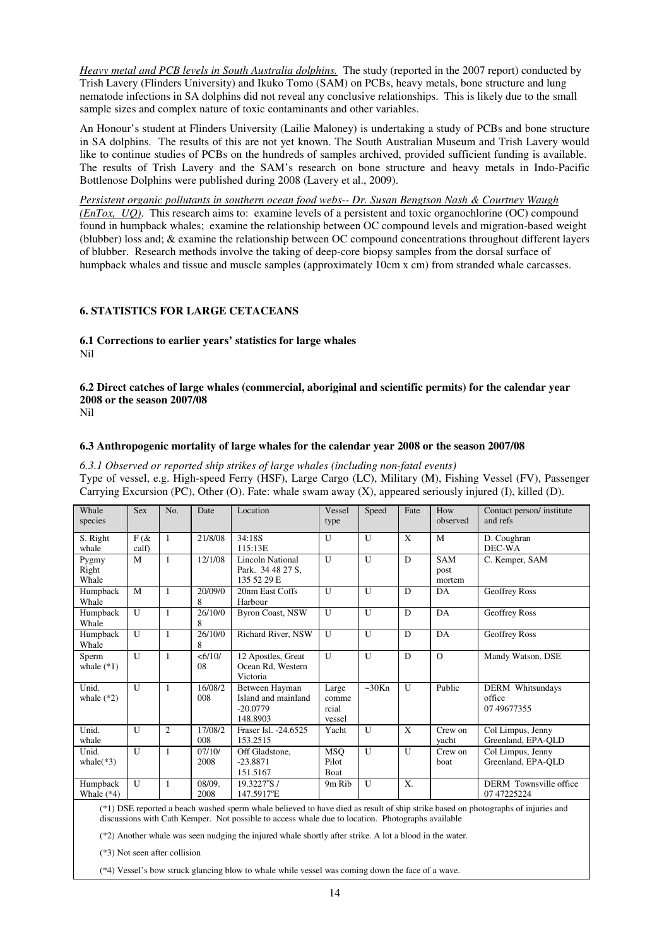*Heavy metal and PCB levels in South Australia dolphins.* The study (reported in the 2007 report) conducted by Trish Lavery (Flinders University) and Ikuko Tomo (SAM) on PCBs, heavy metals, bone structure and lung nematode infections in SA dolphins did not reveal any conclusive relationships. This is likely due to the small sample sizes and complex nature of toxic contaminants and other variables.

An Honour's student at Flinders University (Lailie Maloney) is undertaking a study of PCBs and bone structure in SA dolphins. The results of this are not yet known. The South Australian Museum and Trish Lavery would like to continue studies of PCBs on the hundreds of samples archived, provided sufficient funding is available. The results of Trish Lavery and the SAM's research on bone structure and heavy metals in Indo-Pacific Bottlenose Dolphins were published during 2008 (Lavery et al., 2009).

*Persistent organic pollutants in southern ocean food webs-- Dr. Susan Bengtson Nash & Courtney Waugh (EnTox, UQ)*. This research aims to: examine levels of a persistent and toxic organochlorine (OC) compound found in humpback whales; examine the relationship between OC compound levels and migration-based weight (blubber) loss and; & examine the relationship between OC compound concentrations throughout different layers of blubber. Research methods involve the taking of deep-core biopsy samples from the dorsal surface of humpback whales and tissue and muscle samples (approximately 10cm x cm) from stranded whale carcasses.

## **6. STATISTICS FOR LARGE CETACEANS**

#### **6.1 Corrections to earlier years' statistics for large whales**  Nil

#### **6.2 Direct catches of large whales (commercial, aboriginal and scientific permits) for the calendar year 2008 or the season 2007/08**  Nil

#### **6.3 Anthropogenic mortality of large whales for the calendar year 2008 or the season 2007/08**

*6.3.1 Observed or reported ship strikes of large whales (including non-fatal events)*  Type of vessel, e.g. High-speed Ferry (HSF), Large Cargo (LC), Military (M), Fishing Vessel (FV), Passenger Carrying Excursion (PC), Other (O). Fate: whale swam away (X), appeared seriously injured (I), killed (D).

| Whale<br>species         | <b>Sex</b>          | No.            | Date           | Location                                                        | Vessel<br>type                    | Speed | Fate        | How<br>observed       | Contact person/ institute<br>and refs             |
|--------------------------|---------------------|----------------|----------------|-----------------------------------------------------------------|-----------------------------------|-------|-------------|-----------------------|---------------------------------------------------|
| S. Right<br>whale        | $F$ ( $\&$<br>calf) | $\mathbf{1}$   | 21/8/08        | 34:18S<br>115:13E                                               | U                                 | U     | $\mathbf x$ | M                     | D. Coughran<br>DEC-WA                             |
| Pygmy<br>Right<br>Whale  | M                   | $\mathbf{1}$   | 12/1/08        | <b>Lincoln National</b><br>Park. 34 48 27 S,<br>135 52 29 E     | U                                 | U     | D           | SAM<br>post<br>mortem | C. Kemper, SAM                                    |
| Humpback<br>Whale        | M                   | 1              | 20/09/0<br>8   | 20nm East Coffs<br>Harbour                                      | $\mathbf{U}$                      | U     | D           | DA                    | <b>Geoffrey Ross</b>                              |
| Humpback<br>Whale        | U                   | $\mathbf{1}$   | 26/10/0<br>8   | <b>Byron Coast, NSW</b>                                         | $\mathbf{U}$                      | U     | D           | DA                    | Geoffrey Ross                                     |
| Humpback<br>Whale        | U                   | $\mathbf{1}$   | 26/10/0<br>8   | Richard River, NSW                                              | U                                 | U     | D           | DA                    | Geoffrey Ross                                     |
| Sperm<br>whale $(*1)$    | U                   | 1              | < 6/10/<br>08  | 12 Apostles, Great<br>Ocean Rd, Western<br>Victoria             | U                                 | U     | D           | $\Omega$              | Mandy Watson, DSE                                 |
| Unid.<br>whale $(*2)$    | U                   | $\mathbf{1}$   | 16/08/2<br>008 | Between Hayman<br>Island and mainland<br>$-20.0779$<br>148.8903 | Large<br>comme<br>rcial<br>vessel | ~50Kn | U           | Public                | <b>DERM</b> Whitsundays<br>office<br>07 49 677355 |
| Unid.<br>whale           | U                   | $\overline{c}$ | 17/08/2<br>008 | Fraser Isl. -24.6525<br>153.2515                                | Yacht                             | U     | X           | Crew on<br>yacht      | Col Limpus, Jenny<br>Greenland, EPA-QLD           |
| Unid.<br>whale $(*3)$    | $\mathbf{U}$        | $\mathbf{1}$   | 07/10/<br>2008 | Off Gladstone,<br>$-23.8871$<br>151.5167                        | <b>MSO</b><br>Pilot<br>Boat       | U     | U           | Crew on<br>boat       | Col Limpus, Jenny<br>Greenland, EPA-QLD           |
| Humpback<br>Whale $(*4)$ | U                   | 1              | 08/09.<br>2008 | 19.3227°S/<br>147.5917°E                                        | 9m Rib                            | U     | X.          |                       | DERM Townsville office<br>07 47225224             |

(\*1) DSE reported a beach washed sperm whale believed to have died as result of ship strike based on photographs of injuries and discussions with Cath Kemper. Not possible to access whale due to location. Photographs available

(\*2) Another whale was seen nudging the injured whale shortly after strike. A lot a blood in the water.

(\*3) Not seen after collision

(\*4) Vessel's bow struck glancing blow to whale while vessel was coming down the face of a wave.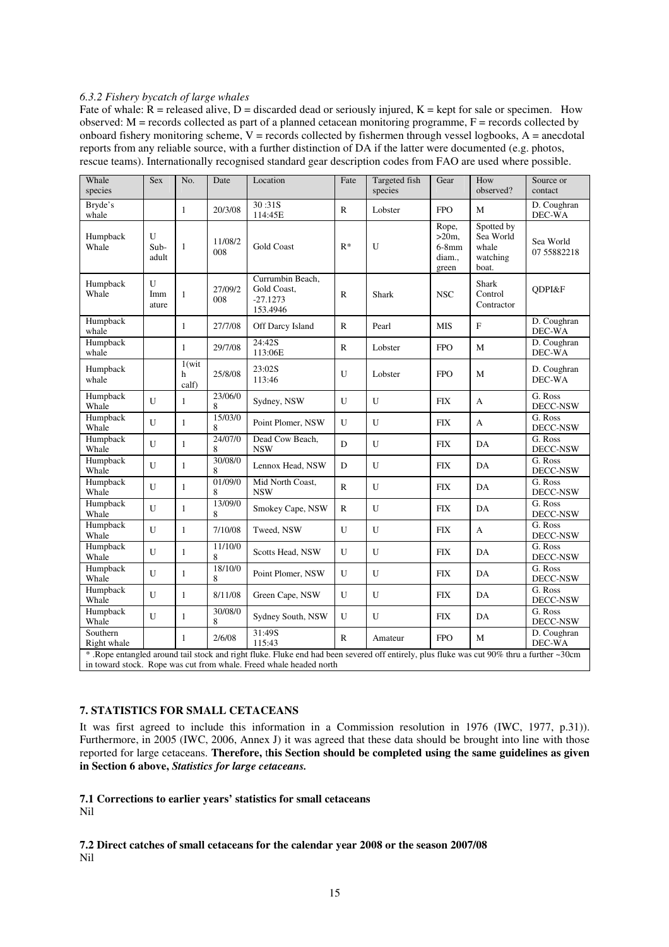#### *6.3.2 Fishery bycatch of large whales*

Fate of whale:  $R$  = released alive, D = discarded dead or seriously injured,  $K$  = kept for sale or specimen. How observed:  $M$  = records collected as part of a planned cetacean monitoring programme,  $F$  = records collected by onboard fishery monitoring scheme,  $V =$  records collected by fishermen through vessel logbooks,  $A =$  anecdotal reports from any reliable source, with a further distinction of DA if the latter were documented (e.g. photos, rescue teams). Internationally recognised standard gear description codes from FAO are used where possible.

| Whale<br>species        | Sex                | No.                  | Date           | Location                                                                                                                                                                                                        | Fate         | Targeted fish<br>species | Gear                                            | How<br>observed?                                      | Source or<br>contact     |
|-------------------------|--------------------|----------------------|----------------|-----------------------------------------------------------------------------------------------------------------------------------------------------------------------------------------------------------------|--------------|--------------------------|-------------------------------------------------|-------------------------------------------------------|--------------------------|
| Bryde's<br>whale        |                    | $\mathbf{1}$         | 20/3/08        | 30:31S<br>114:45E                                                                                                                                                                                               | $\mathbb{R}$ | Lobster                  | <b>FPO</b>                                      | M                                                     | D. Coughran<br>DEC-WA    |
| Humpback<br>Whale       | U<br>Sub-<br>adult | 1                    | 11/08/2<br>008 | <b>Gold Coast</b>                                                                                                                                                                                               | $R^*$        | U                        | Rope,<br>$>20m$ ,<br>$6-8mm$<br>diam.,<br>green | Spotted by<br>Sea World<br>whale<br>watching<br>boat. | Sea World<br>07 55882218 |
| Humpback<br>Whale       | U<br>Imm<br>ature  | $\mathbf{1}$         | 27/09/2<br>008 | Currumbin Beach,<br>Gold Coast,<br>$-27.1273$<br>153.4946                                                                                                                                                       | $\mathbf{R}$ | Shark                    | <b>NSC</b>                                      | <b>Shark</b><br>Control<br>Contractor                 | ODPI&F                   |
| Humpback<br>whale       |                    | $\mathbf{1}$         | 27/7/08        | Off Darcy Island                                                                                                                                                                                                | $\mathbb{R}$ | Pearl                    | <b>MIS</b>                                      | $\mathbf F$                                           | D. Coughran<br>DEC-WA    |
| Humpback<br>whale       |                    | $\mathbf{1}$         | 29/7/08        | 24:42S<br>113:06E                                                                                                                                                                                               | $\mathbb{R}$ | Lobster                  | <b>FPO</b>                                      | M                                                     | D. Coughran<br>DEC-WA    |
| Humpback<br>whale       |                    | 1(wit)<br>h<br>calf) | 25/8/08        | 23:02S<br>113:46                                                                                                                                                                                                | U            | Lobster                  | <b>FPO</b>                                      | M                                                     | D. Coughran<br>DEC-WA    |
| Humpback<br>Whale       | $\mathbf{U}$       | $\mathbf{1}$         | 23/06/0<br>8   | Sydney, NSW                                                                                                                                                                                                     | U            | U                        | <b>FIX</b>                                      | A                                                     | G. Ross<br>DECC-NSW      |
| Humpback<br>Whale       | U                  | $\mathbf{1}$         | 15/03/0<br>8   | Point Plomer, NSW                                                                                                                                                                                               | U            | U                        | <b>FIX</b>                                      | A                                                     | G. Ross<br>DECC-NSW      |
| Humpback<br>Whale       | U                  | $\mathbf{1}$         | 24/07/0<br>8   | Dead Cow Beach,<br><b>NSW</b>                                                                                                                                                                                   | D            | U                        | <b>FIX</b>                                      | DA                                                    | G. Ross<br>DECC-NSW      |
| Humpback<br>Whale       | U                  | $\mathbf{1}$         | 30/08/0<br>8   | Lennox Head, NSW                                                                                                                                                                                                | D            | U                        | <b>FIX</b>                                      | DA                                                    | G. Ross<br>DECC-NSW      |
| Humpback<br>Whale       | U                  | $\mathbf{1}$         | 01/09/0<br>8   | Mid North Coast,<br><b>NSW</b>                                                                                                                                                                                  | $\mathbb{R}$ | U                        | <b>FIX</b>                                      | DA                                                    | G. Ross<br>DECC-NSW      |
| Humpback<br>Whale       | $\mathbf{U}$       | $\mathbf{1}$         | 13/09/0<br>8   | Smokey Cape, NSW                                                                                                                                                                                                | $\mathbb{R}$ | U                        | <b>FIX</b>                                      | DA                                                    | G. Ross<br>DECC-NSW      |
| Humpback<br>Whale       | $\mathbf{U}$       | $\mathbf{1}$         | 7/10/08        | Tweed, NSW                                                                                                                                                                                                      | U            | $\mathbf{U}$             | <b>FIX</b>                                      | A                                                     | G. Ross<br>DECC-NSW      |
| Humpback<br>Whale       | $\mathbf{U}$       | $\mathbf{1}$         | 11/10/0<br>8   | Scotts Head, NSW                                                                                                                                                                                                | $\mathbf{U}$ | $\mathbf{U}$             | <b>FIX</b>                                      | DA                                                    | G. Ross<br>DECC-NSW      |
| Humpback<br>Whale       | $\mathbf{U}$       | $\mathbf{1}$         | 18/10/0<br>8   | Point Plomer, NSW                                                                                                                                                                                               | $\mathbf{U}$ | $\mathbf{U}$             | <b>FIX</b>                                      | DA                                                    | G. Ross<br>DECC-NSW      |
| Humpback<br>Whale       | U                  | $\mathbf{1}$         | 8/11/08        | Green Cape, NSW                                                                                                                                                                                                 | U            | U                        | <b>FIX</b>                                      | DA                                                    | G. Ross<br>DECC-NSW      |
| Humpback<br>Whale       | U                  | $\mathbf{1}$         | 30/08/0<br>8   | Sydney South, NSW                                                                                                                                                                                               | U            | U                        | <b>FIX</b>                                      | DA                                                    | G. Ross<br>DECC-NSW      |
| Southern<br>Right whale |                    | $\mathbf{1}$         | 2/6/08         | 31:49S<br>115:43                                                                                                                                                                                                | $\mathbb{R}$ | Amateur                  | <b>FPO</b>                                      | M                                                     | D. Coughran<br>DEC-WA    |
|                         |                    |                      |                | *. Rope entangled around tail stock and right fluke. Fluke end had been severed off entirely, plus fluke was cut 90% thru a further ~30cm<br>in toward stock. Rope was cut from whale. Freed whale headed north |              |                          |                                                 |                                                       |                          |

#### **7. STATISTICS FOR SMALL CETACEANS**

It was first agreed to include this information in a Commission resolution in 1976 (IWC, 1977, p.31)). Furthermore, in 2005 (IWC, 2006, Annex J) it was agreed that these data should be brought into line with those reported for large cetaceans. **Therefore,** t**his Section should be completed using the same guidelines as given in Section 6 above,** *Statistics for large cetaceans.* 

## **7.1 Corrections to earlier years' statistics for small cetaceans**

Nil

**7.2 Direct catches of small cetaceans for the calendar year 2008 or the season 2007/08**  Nil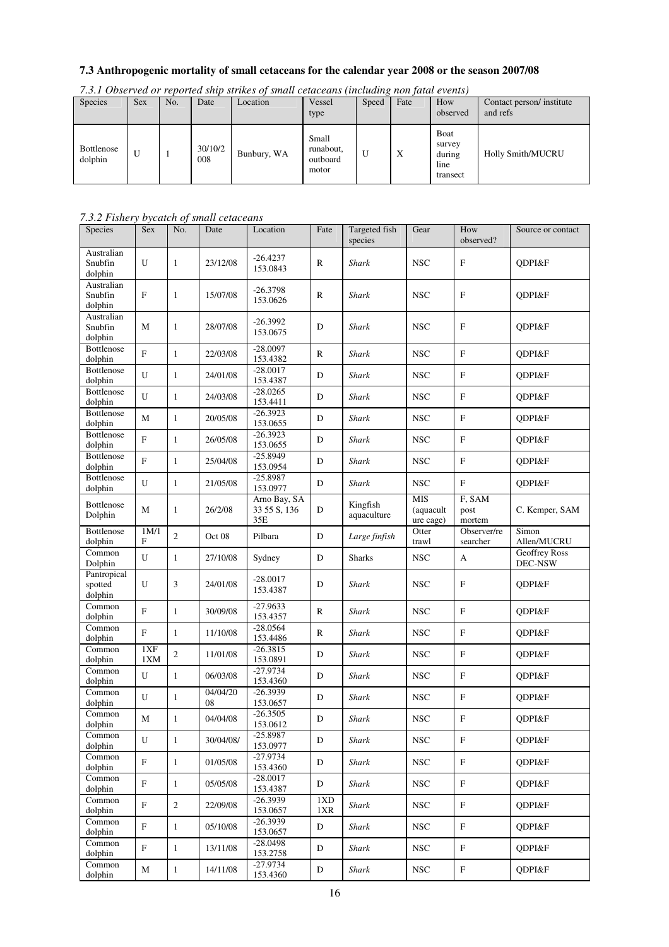# **7.3 Anthropogenic mortality of small cetaceans for the calendar year 2008 or the season 2007/08**

| Species               | <b>Sex</b> | No. | Date           | Location    | Vessel<br>type                          | Speed | Fate | How<br>observed                                      | Contact person/ institute<br>and refs |
|-----------------------|------------|-----|----------------|-------------|-----------------------------------------|-------|------|------------------------------------------------------|---------------------------------------|
| Bottlenose<br>dolphin | U          |     | 30/10/2<br>008 | Bunbury, WA | Small<br>runabout,<br>outboard<br>motor | U     | X    | <b>B</b> oat<br>survey<br>during<br>line<br>transect | <b>Holly Smith/MUCRU</b>              |

*7.3.1 Observed or reported ship strikes of small cetaceans (including non fatal events)* 

# *7.3.2 Fishery bycatch of small cetaceans*

| Species                                 | <b>Sex</b>   | No.          | Date              | Location                              | Fate                   | Targeted fish<br>species | Gear                                 | How<br>observed?          | Source or contact        |
|-----------------------------------------|--------------|--------------|-------------------|---------------------------------------|------------------------|--------------------------|--------------------------------------|---------------------------|--------------------------|
| Australian<br>Snubfin<br>dolphin        | U            | 1            | 23/12/08          | $-26.4237$<br>153.0843                | R                      | Shark                    | <b>NSC</b>                           | $\boldsymbol{\mathrm{F}}$ | <b>ODPI&amp;F</b>        |
| Australian<br>Snubfin<br>dolphin        | F            | 1            | 15/07/08          | $-26.3798$<br>153.0626                | R                      | <b>Shark</b>             | <b>NSC</b>                           | $\boldsymbol{\mathrm{F}}$ | QDPI&F                   |
| Australian<br>Snubfin<br>dolphin        | М            | 1            | 28/07/08          | $-26.3992$<br>153.0675                | D                      | Shark                    | <b>NSC</b>                           | $\mathbf{F}$              | QDPI&F                   |
| <b>Bottlenose</b><br>dolphin            | $\mathbf{F}$ | $\mathbf{1}$ | 22/03/08          | $-28.0097$<br>153.4382                | $\mathbb{R}$           | <b>Shark</b>             | <b>NSC</b>                           | $\mathbf F$               | QDPI&F                   |
| <b>Bottlenose</b><br>dolphin            | U            | 1            | 24/01/08          | $-28.0017$<br>153.4387                | $\mathbf D$            | <b>Shark</b>             | $_{\rm NSC}$                         | $\rm F$                   | QDPI&F                   |
| Bottlenose<br>dolphin                   | U            | 1            | 24/03/08          | $-28.0265$<br>153.4411                | $\mathbf D$            | <b>Shark</b>             | <b>NSC</b>                           | $\boldsymbol{\mathrm{F}}$ | QDPI&F                   |
| Bottlenose<br>dolphin                   | M            | $\mathbf{1}$ | 20/05/08          | $-26.3923$<br>153.0655                | D                      | Shark                    | <b>NSC</b>                           | $\boldsymbol{\mathrm{F}}$ | QDPI&F                   |
| Bottlenose<br>dolphin                   | $\mathbf F$  | 1            | 26/05/08          | $-26.3923$<br>153.0655                | D                      | Shark                    | <b>NSC</b>                           | $\boldsymbol{\mathrm{F}}$ | QDPI&F                   |
| Bottlenose<br>dolphin                   | $\mathbf{F}$ | $\mathbf{1}$ | 25/04/08          | $-25.8949$<br>153.0954                | D                      | <b>Shark</b>             | <b>NSC</b>                           | $\boldsymbol{\mathrm{F}}$ | <b>ODPI&amp;F</b>        |
| Bottlenose<br>dolphin                   | U            | $\mathbf{1}$ | 21/05/08          | $-25.8987$<br>153.0977                | D                      | Shark                    | <b>NSC</b>                           | $_{\rm F}$                | ODPI&F                   |
| Bottlenose<br>Dolphin                   | M            | $\mathbf{1}$ | 26/2/08           | Arno Bay, SA<br>33 55 S, 136<br>$35E$ | D                      | Kingfish<br>aquaculture  | <b>MIS</b><br>(aquacult<br>ure cage) | F, SAM<br>post<br>mortem  | C. Kemper, SAM           |
| Bottlenose<br>dolphin                   | 1M/1<br>F    | $\sqrt{2}$   | Oct <sub>08</sub> | Pilbara                               | D                      | Large finfish            | Otter<br>trawl                       | Observer/re<br>searcher   | Simon<br>Allen/MUCRU     |
| Common<br>Dolphin                       | U            | 1            | 27/10/08          | Sydney                                | D                      | <b>Sharks</b>            | $_{\rm NSC}$                         | А                         | Geoffrey Ross<br>DEC-NSW |
| Pantropical<br>spotted<br>dolphin       | U            | 3            | 24/01/08          | $-28.0017$<br>153.4387                | D                      | <b>Shark</b>             | <b>NSC</b>                           | F                         | QDPI&F                   |
| Common<br>dolphin                       | $\mathbf{F}$ | $\mathbf{1}$ | 30/09/08          | $-27.9633$<br>153.4357                | R                      | Shark                    | <b>NSC</b>                           | $\rm F$                   | QDPI&F                   |
| Common<br>dolphin                       | ${\bf F}$    | $\mathbf{1}$ | 11/10/08          | $-28.0564$<br>153.4486                | $\mathbb{R}$           | <b>Shark</b>             | <b>NSC</b>                           | F                         | QDPI&F                   |
| Common<br>dolphin                       | 1XF<br>1XM   | $\sqrt{2}$   | 11/01/08          | $-26.3815$<br>153.0891                | D                      | <b>Shark</b>             | $_{\rm NSC}$                         | F                         | QDPI&F                   |
| Common<br>dolphin                       | U            | $\mathbf{1}$ | 06/03/08          | $-27.9734$<br>153.4360                | D                      | Shark                    | <b>NSC</b>                           | $\boldsymbol{\mathrm{F}}$ | QDPI&F                   |
| Common<br>dolphin                       | U            | 1            | 04/04/20<br>08    | $-26.3939$<br>153.0657                | D                      | <b>Shark</b>             | $_{\rm NSC}$                         | $\boldsymbol{\mathrm{F}}$ | QDPI&F                   |
| Common<br>dolphin                       | M            | $\mathbf{1}$ | 04/04/08          | $-26.3505$<br>153.0612                | $\mathbf D$            | Shark                    | <b>NSC</b>                           | $\rm F$                   | ODPI&F                   |
| Common<br>dolphin                       | U            | $\mathbf{1}$ | 30/04/08/         | $-25.8987$<br>153.0977                | D                      | Shark                    | $_{\rm NSC}$                         | ${\bf F}$                 | QDPI&F                   |
| $\overline{\mathrm{Common}}$<br>dolphin | $\mathbf F$  | $\mathbf{1}$ | 01/05/08          | $-27.9734$<br>153.4360                | D                      | Shark                    | $_{\rm NSC}$                         | ${\bf F}$                 | QDPI&F                   |
| Common<br>dolphin                       | $_{\rm F}$   | $\mathbf{1}$ | 05/05/08          | $-28.0017$<br>153.4387                | D                      | Shark                    | $_{\rm NSC}$                         | $\mathbf F$               | QDPI&F                   |
| Common<br>dolphin                       | F            | $\mathbf{2}$ | 22/09/08          | $-26.3939$<br>153.0657                | 1 <sub>xD</sub><br>1XR | Shark                    | <b>NSC</b>                           | $\mathbf F$               | ODPI&F                   |
| Common<br>dolphin                       | F            | $\mathbf{1}$ | 05/10/08          | $-26.3939$<br>153.0657                | D                      | Shark                    | <b>NSC</b>                           | F                         | ODPI&F                   |
| Common<br>dolphin                       | $_{\rm F}$   | $\mathbf{1}$ | 13/11/08          | $-28.0498$<br>153.2758                | D                      | Shark                    | <b>NSC</b>                           | ${\bf F}$                 | QDPI&F                   |
| Common<br>dolphin                       | $\mathbf M$  | $\mathbf{1}$ | 14/11/08          | $-27.9734$<br>153.4360                | D                      | Shark                    | <b>NSC</b>                           | ${\bf F}$                 | ODPI&F                   |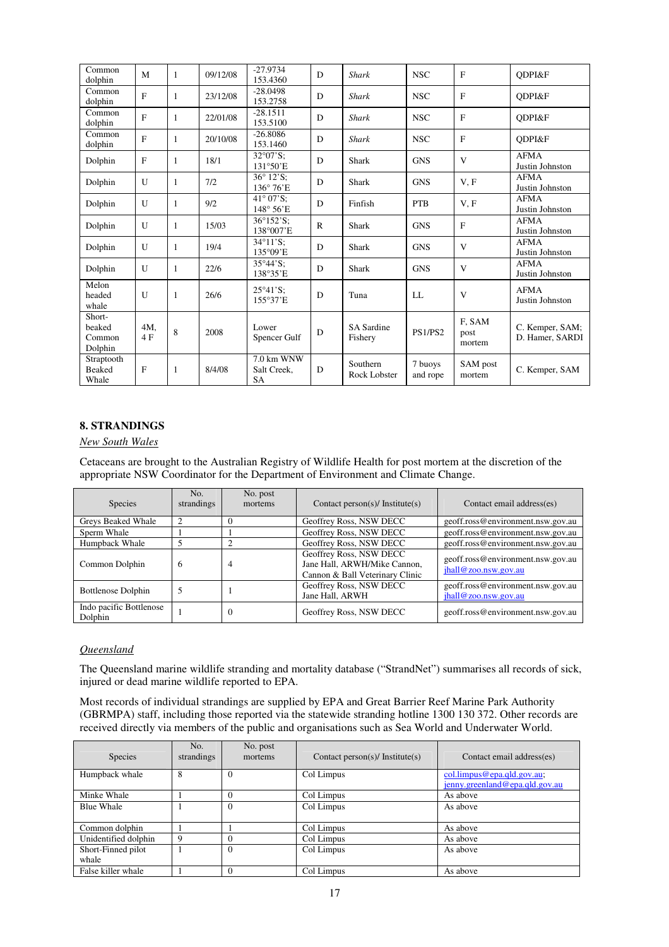| Common<br>dolphin                     | M            | 1            | 09/12/08 | $-27.9734$<br>153.4360                 | D | <b>Shark</b>                 | <b>NSC</b>          | $\mathbf{F}$             | <b>ODPI&amp;F</b>                  |
|---------------------------------------|--------------|--------------|----------|----------------------------------------|---|------------------------------|---------------------|--------------------------|------------------------------------|
| Common<br>dolphin                     | $\mathbf{F}$ | 1            | 23/12/08 | $-28.0498$<br>153.2758                 | D | <b>Shark</b>                 | <b>NSC</b>          | $\mathbf F$              | ODPI&F                             |
| Common<br>dolphin                     | F            | 1            | 22/01/08 | $-28.1511$<br>153.5100                 | D | <b>Shark</b>                 | <b>NSC</b>          | $\mathbf F$              | ODPI&F                             |
| Common<br>dolphin                     | F            | 1            | 20/10/08 | $-26.8086$<br>153.1460                 | D | <b>Shark</b>                 | <b>NSC</b>          | $\mathbf F$              | ODPI&F                             |
| Dolphin                               | F            | 1            | 18/1     | $32^{\circ}07'S$ :<br>131°50'E         | D | <b>Shark</b>                 | <b>GNS</b>          | V                        | <b>AFMA</b><br>Justin Johnston     |
| Dolphin                               | U            | $\mathbf{1}$ | 7/2      | 36° 12'S:<br>136°76'E                  | D | Shark                        | <b>GNS</b>          | V, F                     | <b>AFMA</b><br>Justin Johnston     |
| Dolphin                               | U            | 1            | 9/2      | $41^{\circ}07'S$ :<br>148° 56'E        | D | Finfish                      | <b>PTB</b>          | V, F                     | <b>AFMA</b><br>Justin Johnston     |
| Dolphin                               | $\mathbf{U}$ | $\mathbf{1}$ | 15/03    | 36°152'S;<br>138°007'E                 | R | <b>Shark</b>                 | <b>GNS</b>          | $\mathbf{F}$             | <b>AFMA</b><br>Justin Johnston     |
| Dolphin                               | U            | 1            | 19/4     | $34^{\circ}11'S$ :<br>135°09'E         | D | Shark                        | <b>GNS</b>          | V                        | <b>AFMA</b><br>Justin Johnston     |
| Dolphin                               | $\mathbf{U}$ | 1            | 22/6     | $35^{\circ}44^{\circ}S$ :<br>138°35'E  | D | <b>Shark</b>                 | <b>GNS</b>          | V                        | <b>AFMA</b><br>Justin Johnston     |
| Melon<br>headed<br>whale              | U            | 1            | 26/6     | $25^{\circ}41^{\prime}$ S:<br>155°37'E | D | Tuna                         | LL                  | V                        | <b>AFMA</b><br>Justin Johnston     |
| Short-<br>beaked<br>Common<br>Dolphin | 4M,<br>4F    | 8            | 2008     | Lower<br>Spencer Gulf                  | D | <b>SA</b> Sardine<br>Fishery | <b>PS1/PS2</b>      | F, SAM<br>post<br>mortem | C. Kemper, SAM;<br>D. Hamer, SARDI |
| Straptooth<br><b>Beaked</b><br>Whale  | F            | 1            | 8/4/08   | 7.0 km WNW<br>Salt Creek.<br><b>SA</b> | D | Southern<br>Rock Lobster     | 7 buoys<br>and rope | SAM post<br>mortem       | C. Kemper, SAM                     |

# **8. STRANDINGS**

# *New South Wales*

Cetaceans are brought to the Australian Registry of Wildlife Health for post mortem at the discretion of the appropriate NSW Coordinator for the Department of Environment and Climate Change.

| <b>Species</b>                     | No.<br>strandings | No. post<br>mortems | Contact person(s)/ Institute(s)                                                            | Contact email address(es)                                 |
|------------------------------------|-------------------|---------------------|--------------------------------------------------------------------------------------------|-----------------------------------------------------------|
| Greys Beaked Whale                 |                   |                     | Geoffrey Ross, NSW DECC                                                                    | geoff.ross@environment.nsw.gov.au                         |
| Sperm Whale                        |                   |                     | Geoffrey Ross, NSW DECC                                                                    | geoff.ross@environment.nsw.gov.au                         |
| Humpback Whale                     |                   |                     | Geoffrey Ross, NSW DECC                                                                    | geoff.ross@environment.nsw.gov.au                         |
| Common Dolphin                     | 6                 | 4                   | Geoffrey Ross, NSW DECC<br>Jane Hall, ARWH/Mike Cannon,<br>Cannon & Ball Veterinary Clinic | geoff.ross@environment.nsw.gov.au<br>jhall@zoo.nsw.gov.au |
| <b>Bottlenose Dolphin</b>          |                   |                     | Geoffrey Ross, NSW DECC<br>Jane Hall, ARWH                                                 | geoff.ross@environment.nsw.gov.au<br>jhall@zoo.nsw.gov.au |
| Indo pacific Bottlenose<br>Dolphin |                   | 0                   | Geoffrey Ross, NSW DECC                                                                    | geoff.ross@environment.nsw.gov.au                         |

## *Queensland*

The Queensland marine wildlife stranding and mortality database ("StrandNet") summarises all records of sick, injured or dead marine wildlife reported to EPA.

Most records of individual strandings are supplied by EPA and Great Barrier Reef Marine Park Authority (GBRMPA) staff, including those reported via the statewide stranding hotline 1300 130 372. Other records are received directly via members of the public and organisations such as Sea World and Underwater World.

| <b>Species</b>              | No.<br>strandings | No. post<br>mortems    | Contact person(s)/ Institute(s) | Contact email address(es)                                    |
|-----------------------------|-------------------|------------------------|---------------------------------|--------------------------------------------------------------|
| Humpback whale              | 8                 | Col Limpus<br>$\theta$ |                                 | col.limpus@epa.qld.gov.au;<br>jenny.greenland@epa.qld.gov.au |
| Minke Whale                 |                   | 0                      | Col Limpus                      | As above                                                     |
| <b>Blue Whale</b>           |                   | $_{0}$                 | Col Limpus                      | As above                                                     |
| Common dolphin              |                   |                        | Col Limpus                      | As above                                                     |
| Unidentified dolphin        | 9                 | 0                      | Col Limpus                      | As above                                                     |
| Short-Finned pilot<br>whale |                   | $\Omega$               | Col Limpus                      | As above                                                     |
| False killer whale          |                   | $\Omega$               | Col Limpus                      | As above                                                     |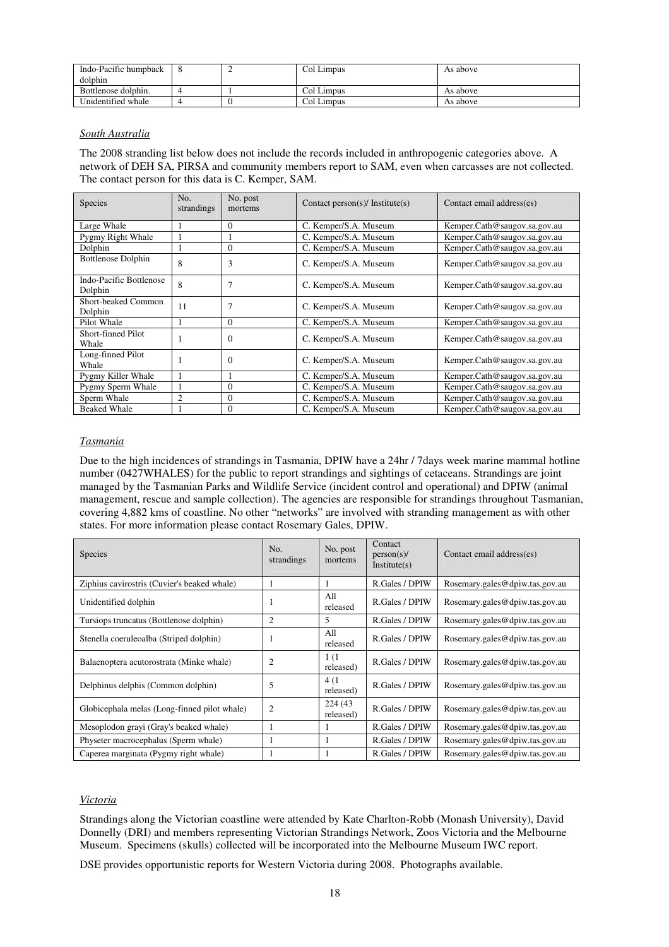| Indo-Pacific humpback |  | Col Limpus | As above |
|-----------------------|--|------------|----------|
| dolphin               |  |            |          |
| Bottlenose dolphin.   |  | Col Limpus | As above |
| Unidentified whale    |  | Col Limpus | As above |

#### *South Australia*

The 2008 stranding list below does not include the records included in anthropogenic categories above. A network of DEH SA, PIRSA and community members report to SAM, even when carcasses are not collected. The contact person for this data is C. Kemper, SAM.

| Species                               | No.<br>strandings | No. post<br>mortems | Contact person(s)/ Institute(s) | Contact email address(es)    |
|---------------------------------------|-------------------|---------------------|---------------------------------|------------------------------|
| Large Whale                           |                   | $\mathbf{0}$        | C. Kemper/S.A. Museum           | Kemper.Cath@saugov.sa.gov.au |
| Pygmy Right Whale                     |                   |                     | C. Kemper/S.A. Museum           | Kemper.Cath@saugov.sa.gov.au |
| Dolphin                               |                   | $\Omega$            | C. Kemper/S.A. Museum           | Kemper.Cath@saugov.sa.gov.au |
| <b>Bottlenose Dolphin</b>             | 8                 | 3                   | C. Kemper/S.A. Museum           | Kemper.Cath@saugov.sa.gov.au |
| Indo-Pacific Bottlenose<br>Dolphin    | 8                 | 7                   | C. Kemper/S.A. Museum           | Kemper.Cath@saugov.sa.gov.au |
| <b>Short-beaked Common</b><br>Dolphin | 11                | $\overline{7}$      | C. Kemper/S.A. Museum           | Kemper.Cath@saugov.sa.gov.au |
| Pilot Whale                           |                   | $\theta$            | C. Kemper/S.A. Museum           | Kemper.Cath@saugov.sa.gov.au |
| Short-finned Pilot<br>Whale           |                   | $\Omega$            | C. Kemper/S.A. Museum           | Kemper.Cath@saugov.sa.gov.au |
| Long-finned Pilot<br>Whale            |                   | $\Omega$            | C. Kemper/S.A. Museum           | Kemper.Cath@saugov.sa.gov.au |
| Pygmy Killer Whale                    |                   |                     | C. Kemper/S.A. Museum           | Kemper.Cath@saugov.sa.gov.au |
| Pygmy Sperm Whale                     |                   | $\Omega$            | C. Kemper/S.A. Museum           | Kemper.Cath@saugov.sa.gov.au |
| Sperm Whale                           | $\overline{c}$    | $\Omega$            | C. Kemper/S.A. Museum           | Kemper.Cath@saugov.sa.gov.au |
| <b>Beaked Whale</b>                   |                   | $\Omega$            | C. Kemper/S.A. Museum           | Kemper.Cath@saugov.sa.gov.au |

#### *Tasmania*

Due to the high incidences of strandings in Tasmania, DPIW have a 24hr / 7days week marine mammal hotline number (0427WHALES) for the public to report strandings and sightings of cetaceans. Strandings are joint managed by the Tasmanian Parks and Wildlife Service (incident control and operational) and DPIW (animal management, rescue and sample collection). The agencies are responsible for strandings throughout Tasmanian, covering 4,882 kms of coastline. No other "networks" are involved with stranding management as with other states. For more information please contact Rosemary Gales, DPIW.

| <b>Species</b>                               | No.<br>strandings | No. post<br>mortems   | Contact<br>person(s)<br>Institute(s) | Contact email address(es)      |
|----------------------------------------------|-------------------|-----------------------|--------------------------------------|--------------------------------|
| Ziphius cavirostris (Cuvier's beaked whale)  |                   |                       | R.Gales / DPIW                       | Rosemary.gales@dpiw.tas.gov.au |
| Unidentified dolphin                         |                   | A11<br>released       | R.Gales / DPIW                       | Rosemary.gales@dpiw.tas.gov.au |
| Tursiops truncatus (Bottlenose dolphin)      | 2                 | 5                     | R.Gales / DPIW                       | Rosemary.gales@dpiw.tas.gov.au |
| Stenella coeruleoalba (Striped dolphin)      |                   | All<br>released       | R.Gales / DPIW                       | Rosemary.gales@dpiw.tas.gov.au |
| Balaenoptera acutorostrata (Minke whale)     | 2                 | 1(1<br>released)      | R.Gales / DPIW                       | Rosemary.gales@dpiw.tas.gov.au |
| Delphinus delphis (Common dolphin)           | 5                 | 4(1)<br>released)     | R.Gales / DPIW                       | Rosemary.gales@dpiw.tas.gov.au |
| Globicephala melas (Long-finned pilot whale) | 2                 | 224 (43)<br>released) | R.Gales / DPIW                       | Rosemary.gales@dpiw.tas.gov.au |
| Mesoplodon grayi (Gray's beaked whale)       |                   |                       | R.Gales / DPIW                       | Rosemary.gales@dpiw.tas.gov.au |
| Physeter macrocephalus (Sperm whale)         |                   | л.                    | R.Gales / DPIW                       | Rosemary.gales@dpiw.tas.gov.au |
| Caperea marginata (Pygmy right whale)        |                   |                       | R.Gales / DPIW                       | Rosemary.gales@dpiw.tas.gov.au |

## *Victoria*

Strandings along the Victorian coastline were attended by Kate Charlton-Robb (Monash University), David Donnelly (DRI) and members representing Victorian Strandings Network, Zoos Victoria and the Melbourne Museum. Specimens (skulls) collected will be incorporated into the Melbourne Museum IWC report.

DSE provides opportunistic reports for Western Victoria during 2008. Photographs available.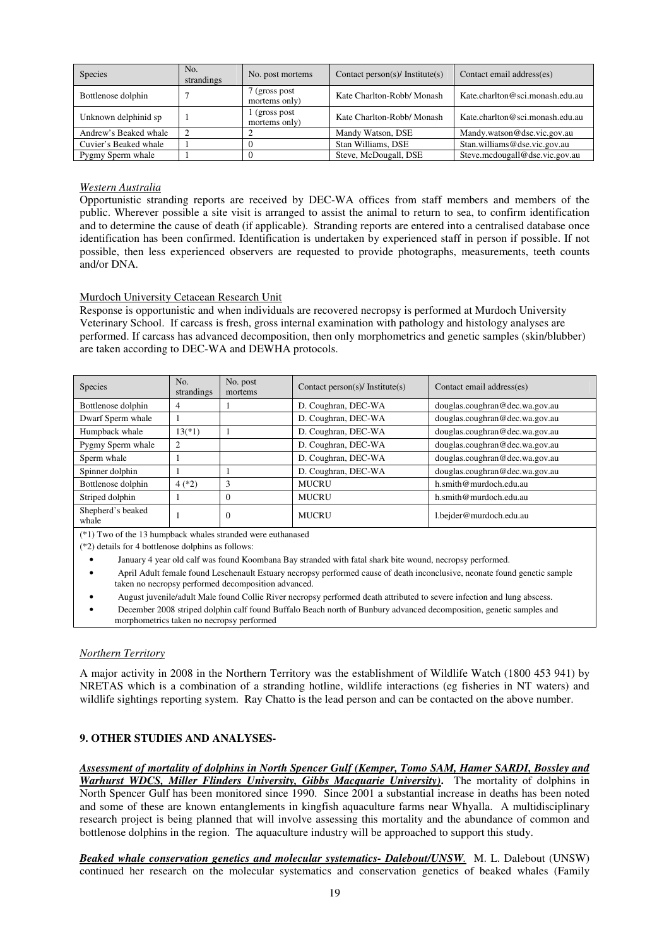| Species               | No.<br>strandings | No. post mortems                | Contact person(s)/ Institute(s) | Contact email address(es)       |
|-----------------------|-------------------|---------------------------------|---------------------------------|---------------------------------|
| Bottlenose dolphin    |                   | 7 (gross post<br>mortems only)  | Kate Charlton-Robb/ Monash      | Kate.charlton@sci.monash.edu.au |
| Unknown delphinid sp  |                   | 1 (gross post)<br>mortems only) | Kate Charlton-Robb/ Monash      | Kate.charlton@sci.monash.edu.au |
| Andrew's Beaked whale | 2                 |                                 | Mandy Watson, DSE               | Mandy.watson@dse.vic.gov.au     |
| Cuvier's Beaked whale |                   |                                 | Stan Williams, DSE              | Stan.williams@dse.vic.gov.au    |
| Pygmy Sperm whale     |                   |                                 | Steve, McDougall, DSE           | Steve.mcdougall@dse.vic.gov.au  |

#### *Western Australia*

Opportunistic stranding reports are received by DEC-WA offices from staff members and members of the public. Wherever possible a site visit is arranged to assist the animal to return to sea, to confirm identification and to determine the cause of death (if applicable). Stranding reports are entered into a centralised database once identification has been confirmed. Identification is undertaken by experienced staff in person if possible. If not possible, then less experienced observers are requested to provide photographs, measurements, teeth counts and/or DNA.

#### Murdoch University Cetacean Research Unit

Response is opportunistic and when individuals are recovered necropsy is performed at Murdoch University Veterinary School. If carcass is fresh, gross internal examination with pathology and histology analyses are performed. If carcass has advanced decomposition, then only morphometrics and genetic samples (skin/blubber) are taken according to DEC-WA and DEWHA protocols.

| Species                    | No.<br>strandings | No. post<br>mortems | Contact person(s)/ Institute(s) | Contact email address(es)      |
|----------------------------|-------------------|---------------------|---------------------------------|--------------------------------|
| Bottlenose dolphin         | 4                 |                     | D. Coughran, DEC-WA             | douglas.coughran@dec.wa.gov.au |
| Dwarf Sperm whale          |                   |                     | D. Coughran, DEC-WA             | douglas.coughran@dec.wa.gov.au |
| Humpback whale             | $13(*)1)$         |                     | D. Coughran, DEC-WA             | douglas.coughran@dec.wa.gov.au |
| Pygmy Sperm whale          | 2                 |                     | D. Coughran, DEC-WA             | douglas.coughran@dec.wa.gov.au |
| Sperm whale                |                   |                     | D. Coughran, DEC-WA             | douglas.coughran@dec.wa.gov.au |
| Spinner dolphin            |                   |                     | D. Coughran, DEC-WA             | douglas.coughran@dec.wa.gov.au |
| Bottlenose dolphin         | $4(*)2)$          | 3                   | <b>MUCRU</b>                    | h.smith@murdoch.edu.au         |
| Striped dolphin            |                   | $\Omega$            | MUCRU                           | h.smith@murdoch.edu.au         |
| Shepherd's beaked<br>whale |                   | $\mathbf{0}$        | MUCRU                           | 1.bejder@murdoch.edu.au        |

(\*1) Two of the 13 humpback whales stranded were euthanased

(\*2) details for 4 bottlenose dolphins as follows:

- January 4 year old calf was found Koombana Bay stranded with fatal shark bite wound, necropsy performed.
- April Adult female found Leschenault Estuary necropsy performed cause of death inconclusive, neonate found genetic sample taken no necropsy performed decomposition advanced.
- August juvenile/adult Male found Collie River necropsy performed death attributed to severe infection and lung abscess.
- December 2008 striped dolphin calf found Buffalo Beach north of Bunbury advanced decomposition, genetic samples and morphometrics taken no necropsy performed

#### *Northern Territory*

A major activity in 2008 in the Northern Territory was the establishment of Wildlife Watch (1800 453 941) by NRETAS which is a combination of a stranding hotline, wildlife interactions (eg fisheries in NT waters) and wildlife sightings reporting system. Ray Chatto is the lead person and can be contacted on the above number.

#### **9. OTHER STUDIES AND ANALYSES-**

*Assessment of mortality of dolphins in North Spencer Gulf (Kemper, Tomo SAM, Hamer SARDI, Bossley and Warhurst WDCS, Miller Flinders University, Gibbs Macquarie University)***.** The mortality of dolphins in North Spencer Gulf has been monitored since 1990. Since 2001 a substantial increase in deaths has been noted and some of these are known entanglements in kingfish aquaculture farms near Whyalla. A multidisciplinary research project is being planned that will involve assessing this mortality and the abundance of common and bottlenose dolphins in the region. The aquaculture industry will be approached to support this study.

*Beaked whale conservation genetics and molecular systematics- Dalebout/UNSW.* M. L. Dalebout (UNSW) continued her research on the molecular systematics and conservation genetics of beaked whales (Family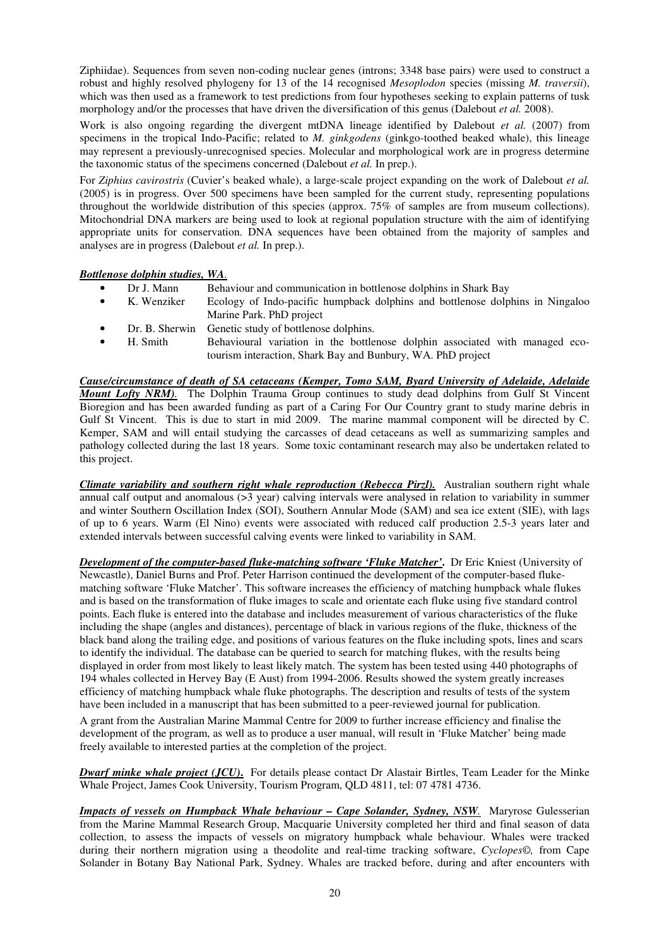Ziphiidae). Sequences from seven non-coding nuclear genes (introns; 3348 base pairs) were used to construct a robust and highly resolved phylogeny for 13 of the 14 recognised *Mesoplodon* species (missing *M. traversii*), which was then used as a framework to test predictions from four hypotheses seeking to explain patterns of tusk morphology and/or the processes that have driven the diversification of this genus (Dalebout *et al.* 2008).

Work is also ongoing regarding the divergent mtDNA lineage identified by Dalebout *et al.* (2007) from specimens in the tropical Indo-Pacific; related to *M. ginkgodens* (ginkgo-toothed beaked whale), this lineage may represent a previously-unrecognised species. Molecular and morphological work are in progress determine the taxonomic status of the specimens concerned (Dalebout *et al.* In prep.).

For *Ziphius cavirostris* (Cuvier's beaked whale), a large-scale project expanding on the work of Dalebout *et al.*  (2005) is in progress. Over 500 specimens have been sampled for the current study, representing populations throughout the worldwide distribution of this species (approx. 75% of samples are from museum collections). Mitochondrial DNA markers are being used to look at regional population structure with the aim of identifying appropriate units for conservation. DNA sequences have been obtained from the majority of samples and analyses are in progress (Dalebout *et al.* In prep.).

## *Bottlenose dolphin studies, WA.*

- Dr J. Mann Behaviour and communication in bottlenose dolphins in Shark Bay
- Ecology of Indo-pacific humpback dolphins and bottlenose dolphins in Ningaloo Marine Park. PhD project
- Dr. B. Sherwin Genetic study of bottlenose dolphins.
- H. Smith Behavioural variation in the bottlenose dolphin associated with managed ecotourism interaction, Shark Bay and Bunbury, WA. PhD project

*Cause/circumstance of death of SA cetaceans (Kemper, Tomo SAM, Byard University of Adelaide, Adelaide Mount Lofty NRM).*The Dolphin Trauma Group continues to study dead dolphins from Gulf St Vincent Bioregion and has been awarded funding as part of a Caring For Our Country grant to study marine debris in Gulf St Vincent. This is due to start in mid 2009. The marine mammal component will be directed by C. Kemper, SAM and will entail studying the carcasses of dead cetaceans as well as summarizing samples and pathology collected during the last 18 years. Some toxic contaminant research may also be undertaken related to this project.

*Climate variability and southern right whale reproduction (Rebecca Pirzl).* Australian southern right whale annual calf output and anomalous (>3 year) calving intervals were analysed in relation to variability in summer and winter Southern Oscillation Index (SOI), Southern Annular Mode (SAM) and sea ice extent (SIE), with lags of up to 6 years. Warm (El Nino) events were associated with reduced calf production 2.5-3 years later and extended intervals between successful calving events were linked to variability in SAM.

*Development of the computer-based fluke-matching software 'Fluke Matcher'***.** Dr Eric Kniest (University of Newcastle), Daniel Burns and Prof. Peter Harrison continued the development of the computer-based flukematching software 'Fluke Matcher'. This software increases the efficiency of matching humpback whale flukes and is based on the transformation of fluke images to scale and orientate each fluke using five standard control points. Each fluke is entered into the database and includes measurement of various characteristics of the fluke including the shape (angles and distances), percentage of black in various regions of the fluke, thickness of the black band along the trailing edge, and positions of various features on the fluke including spots, lines and scars to identify the individual. The database can be queried to search for matching flukes, with the results being displayed in order from most likely to least likely match. The system has been tested using 440 photographs of 194 whales collected in Hervey Bay (E Aust) from 1994-2006. Results showed the system greatly increases efficiency of matching humpback whale fluke photographs. The description and results of tests of the system have been included in a manuscript that has been submitted to a peer-reviewed journal for publication.

A grant from the Australian Marine Mammal Centre for 2009 to further increase efficiency and finalise the development of the program, as well as to produce a user manual, will result in 'Fluke Matcher' being made freely available to interested parties at the completion of the project.

*Dwarf minke whale project (JCU)***.** For details please contact Dr Alastair Birtles, Team Leader for the Minke Whale Project, James Cook University, Tourism Program, QLD 4811, tel: 07 4781 4736.

*Impacts of vessels on Humpback Whale behaviour – Cape Solander, Sydney, NSW.* Maryrose Gulesserian from the Marine Mammal Research Group, Macquarie University completed her third and final season of data collection, to assess the impacts of vessels on migratory humpback whale behaviour. Whales were tracked during their northern migration using a theodolite and real-time tracking software, *Cyclopes©,* from Cape Solander in Botany Bay National Park, Sydney. Whales are tracked before, during and after encounters with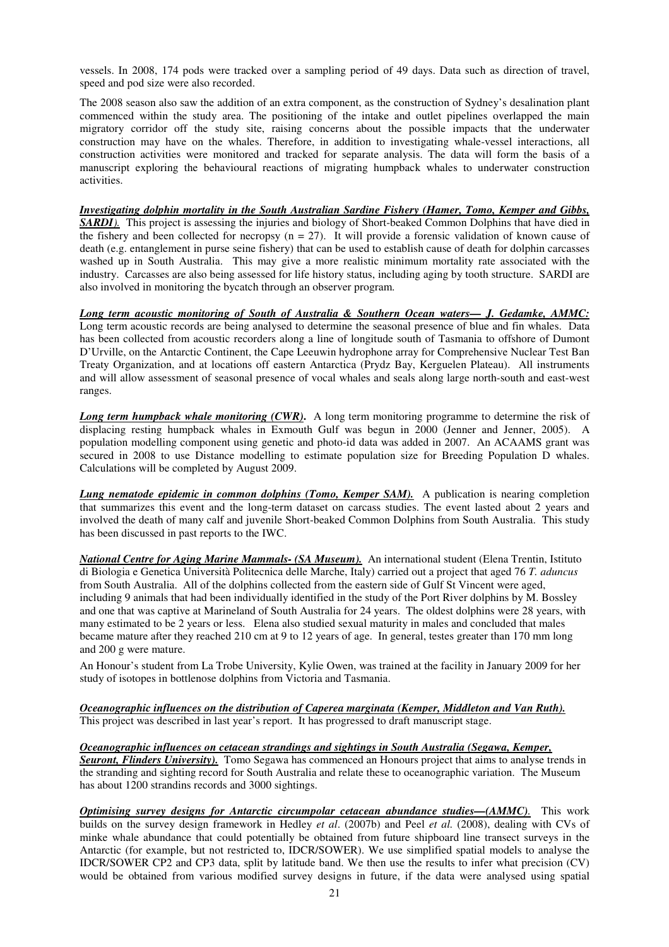vessels. In 2008, 174 pods were tracked over a sampling period of 49 days. Data such as direction of travel, speed and pod size were also recorded.

The 2008 season also saw the addition of an extra component, as the construction of Sydney's desalination plant commenced within the study area. The positioning of the intake and outlet pipelines overlapped the main migratory corridor off the study site, raising concerns about the possible impacts that the underwater construction may have on the whales. Therefore, in addition to investigating whale-vessel interactions, all construction activities were monitored and tracked for separate analysis. The data will form the basis of a manuscript exploring the behavioural reactions of migrating humpback whales to underwater construction activities.

*Investigating dolphin mortality in the South Australian Sardine Fishery (Hamer, Tomo, Kemper and Gibbs, SARDI)*. This project is assessing the injuries and biology of Short-beaked Common Dolphins that have died in the fishery and been collected for necropsy  $(n = 27)$ . It will provide a forensic validation of known cause of death (e.g. entanglement in purse seine fishery) that can be used to establish cause of death for dolphin carcasses washed up in South Australia. This may give a more realistic minimum mortality rate associated with the industry. Carcasses are also being assessed for life history status, including aging by tooth structure.SARDI are also involved in monitoring the bycatch through an observer program.

*Long term acoustic monitoring of South of Australia & Southern Ocean waters— J. Gedamke, AMMC:* Long term acoustic records are being analysed to determine the seasonal presence of blue and fin whales. Data has been collected from acoustic recorders along a line of longitude south of Tasmania to offshore of Dumont D'Urville, on the Antarctic Continent, the Cape Leeuwin hydrophone array for Comprehensive Nuclear Test Ban Treaty Organization, and at locations off eastern Antarctica (Prydz Bay, Kerguelen Plateau). All instruments and will allow assessment of seasonal presence of vocal whales and seals along large north-south and east-west ranges.

*Long term humpback whale monitoring (CWR)*. A long term monitoring programme to determine the risk of displacing resting humpback whales in Exmouth Gulf was begun in 2000 (Jenner and Jenner, 2005). A population modelling component using genetic and photo-id data was added in 2007. An ACAAMS grant was secured in 2008 to use Distance modelling to estimate population size for Breeding Population D whales. Calculations will be completed by August 2009.

*Lung nematode epidemic in common dolphins (Tomo, Kemper SAM).* A publication is nearing completion that summarizes this event and the long-term dataset on carcass studies. The event lasted about 2 years and involved the death of many calf and juvenile Short-beaked Common Dolphins from South Australia. This study has been discussed in past reports to the IWC.

*National Centre for Aging Marine Mammals- (SA Museum).* An international student (Elena Trentin, Istituto di Biologia e Genetica Università Politecnica delle Marche, Italy) carried out a project that aged 76 *T. aduncus* from South Australia. All of the dolphins collected from the eastern side of Gulf St Vincent were aged, including 9 animals that had been individually identified in the study of the Port River dolphins by M. Bossley and one that was captive at Marineland of South Australia for 24 years. The oldest dolphins were 28 years, with many estimated to be 2 years or less. Elena also studied sexual maturity in males and concluded that males became mature after they reached 210 cm at 9 to 12 years of age. In general, testes greater than 170 mm long and 200 g were mature.

An Honour's student from La Trobe University, Kylie Owen, was trained at the facility in January 2009 for her study of isotopes in bottlenose dolphins from Victoria and Tasmania.

*Oceanographic influences on the distribution of Caperea marginata (Kemper, Middleton and Van Ruth).* This project was described in last year's report. It has progressed to draft manuscript stage.

*Oceanographic influences on cetacean strandings and sightings in South Australia (Segawa, Kemper, Seuront, Flinders University).* Tomo Segawa has commenced an Honours project that aims to analyse trends in the stranding and sighting record for South Australia and relate these to oceanographic variation. The Museum has about 1200 strandins records and 3000 sightings.

*Optimising survey designs for Antarctic circumpolar cetacean abundance studies—(AMMC).* This work builds on the survey design framework in Hedley *et al*. (2007b) and Peel *et al.* (2008), dealing with CVs of minke whale abundance that could potentially be obtained from future shipboard line transect surveys in the Antarctic (for example, but not restricted to, IDCR/SOWER). We use simplified spatial models to analyse the IDCR/SOWER CP2 and CP3 data, split by latitude band. We then use the results to infer what precision (CV) would be obtained from various modified survey designs in future, if the data were analysed using spatial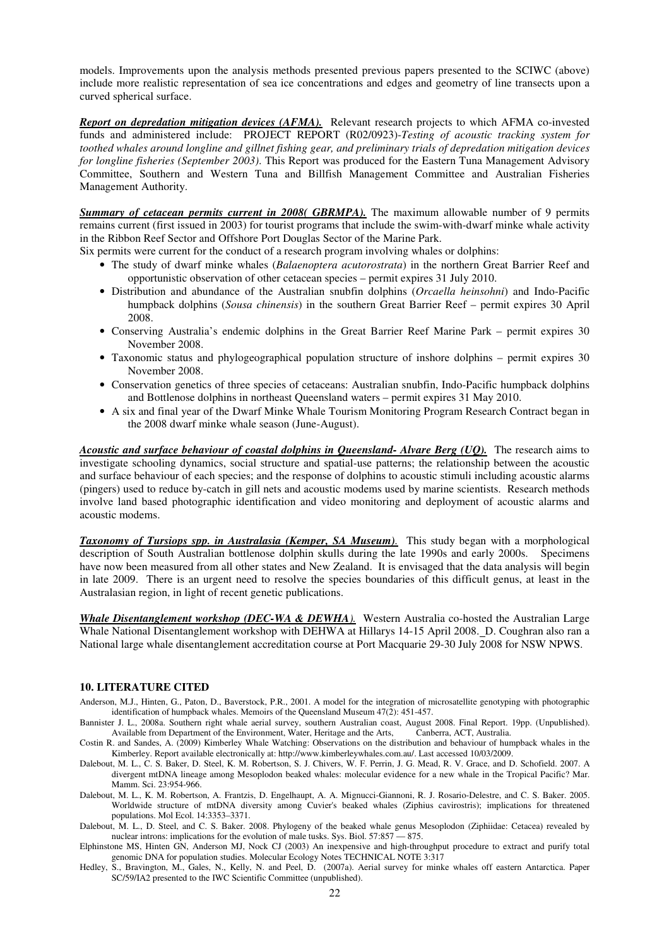models. Improvements upon the analysis methods presented previous papers presented to the SCIWC (above) include more realistic representation of sea ice concentrations and edges and geometry of line transects upon a curved spherical surface.

*Report on depredation mitigation devices (AFMA).* Relevant research projects to which AFMA co-invested funds and administered include: PROJECT REPORT (R02/0923)-*Testing of acoustic tracking system for toothed whales around longline and gillnet fishing gear, and preliminary trials of depredation mitigation devices for longline fisheries (September 2003)*. This Report was produced for the Eastern Tuna Management Advisory Committee, Southern and Western Tuna and Billfish Management Committee and Australian Fisheries Management Authority.

*Summary of cetacean permits current in 2008( GBRMPA).* The maximum allowable number of 9 permits remains current (first issued in 2003) for tourist programs that include the swim-with-dwarf minke whale activity in the Ribbon Reef Sector and Offshore Port Douglas Sector of the Marine Park.

Six permits were current for the conduct of a research program involving whales or dolphins:

- The study of dwarf minke whales (*Balaenoptera acutorostrata*) in the northern Great Barrier Reef and opportunistic observation of other cetacean species – permit expires 31 July 2010.
- Distribution and abundance of the Australian snubfin dolphins (*Orcaella heinsohni*) and Indo-Pacific humpback dolphins (*Sousa chinensis*) in the southern Great Barrier Reef – permit expires 30 April 2008.
- Conserving Australia's endemic dolphins in the Great Barrier Reef Marine Park permit expires 30 November 2008.
- Taxonomic status and phylogeographical population structure of inshore dolphins permit expires 30 November 2008.
- Conservation genetics of three species of cetaceans: Australian snubfin, Indo-Pacific humpback dolphins and Bottlenose dolphins in northeast Queensland waters – permit expires 31 May 2010.
- A six and final year of the Dwarf Minke Whale Tourism Monitoring Program Research Contract began in the 2008 dwarf minke whale season (June-August).

*Acoustic and surface behaviour of coastal dolphins in Queensland- Alvare Berg (UQ).* The research aims to investigate schooling dynamics, social structure and spatial-use patterns; the relationship between the acoustic and surface behaviour of each species; and the response of dolphins to acoustic stimuli including acoustic alarms (pingers) used to reduce by-catch in gill nets and acoustic modems used by marine scientists. Research methods involve land based photographic identification and video monitoring and deployment of acoustic alarms and acoustic modems.

*Taxonomy of Tursiops spp. in Australasia (Kemper, SA Museum).* This study began with a morphological description of South Australian bottlenose dolphin skulls during the late 1990s and early 2000s. Specimens have now been measured from all other states and New Zealand. It is envisaged that the data analysis will begin in late 2009. There is an urgent need to resolve the species boundaries of this difficult genus, at least in the Australasian region, in light of recent genetic publications.

*Whale Disentanglement workshop (DEC-WA & DEWHA).* Western Australia co-hosted the Australian Large Whale National Disentanglement workshop with DEHWA at Hillarys 14-15 April 2008.D. Coughran also ran a National large whale disentanglement accreditation course at Port Macquarie 29-30 July 2008 for NSW NPWS.

#### **10. LITERATURE CITED**

Anderson, M.J., Hinten, G., Paton, D., Baverstock, P.R., 2001. A model for the integration of microsatellite genotyping with photographic identification of humpback whales. Memoirs of the Queensland Museum 47(2): 451-457.

Bannister J. L., 2008a. Southern right whale aerial survey, southern Australian coast, August 2008. Final Report. 19pp. (Unpublished). Available from Department of the Environment, Water, Heritage and the Arts, Canberra, ACT, Australia.

- Costin R. and Sandes, A. (2009) Kimberley Whale Watching: Observations on the distribution and behaviour of humpback whales in the Kimberley. Report available electronically at: http://www.kimberleywhales.com.au/. Last accessed 10/03/2009.
- Dalebout, M. L., C. S. Baker, D. Steel, K. M. Robertson, S. J. Chivers, W. F. Perrin, J. G. Mead, R. V. Grace, and D. Schofield. 2007. A divergent mtDNA lineage among Mesoplodon beaked whales: molecular evidence for a new whale in the Tropical Pacific? Mar. Mamm. Sci. 23:954-966.
- Dalebout, M. L., K. M. Robertson, A. Frantzis, D. Engelhaupt, A. A. Mignucci-Giannoni, R. J. Rosario-Delestre, and C. S. Baker. 2005. Worldwide structure of mtDNA diversity among Cuvier's beaked whales (Ziphius cavirostris); implications for threatened populations. Mol Ecol. 14:3353–3371.
- Dalebout, M. L., D. Steel, and C. S. Baker. 2008. Phylogeny of the beaked whale genus Mesoplodon (Ziphiidae: Cetacea) revealed by nuclear introns: implications for the evolution of male tusks. Sys. Biol. 57:857 — 875.
- Elphinstone MS, Hinten GN, Anderson MJ, Nock CJ (2003) An inexpensive and high-throughput procedure to extract and purify total genomic DNA for population studies. Molecular Ecology Notes TECHNICAL NOTE 3:317
- Hedley, S., Bravington, M., Gales, N., Kelly, N. and Peel, D. (2007a). Aerial survey for minke whales off eastern Antarctica. Paper SC/59/IA2 presented to the IWC Scientific Committee (unpublished).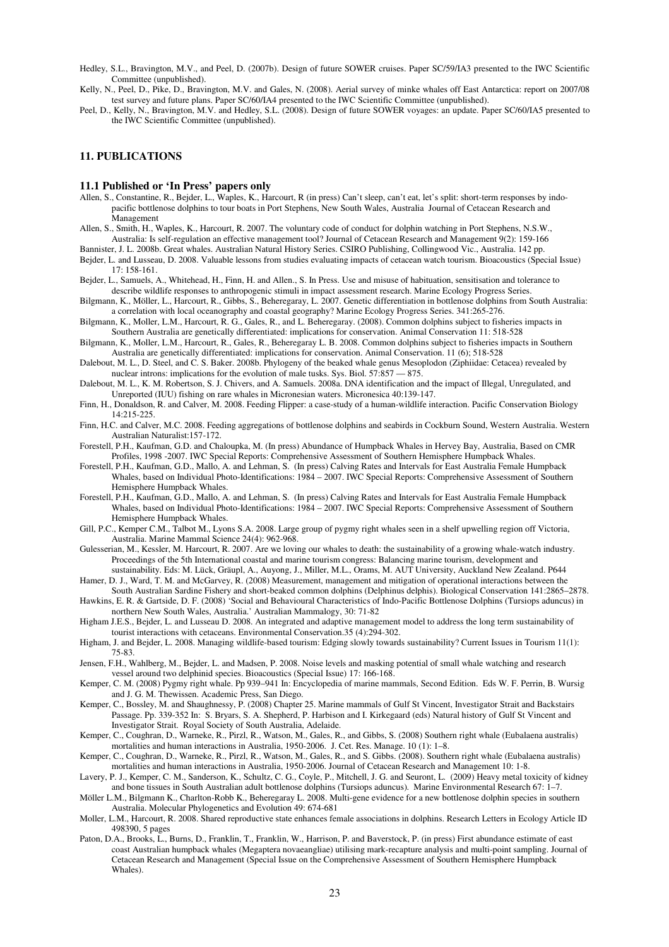Hedley, S.L., Bravington, M.V., and Peel, D. (2007b). Design of future SOWER cruises. Paper SC/59/IA3 presented to the IWC Scientific Committee (unpublished).

- Kelly, N., Peel, D., Pike, D., Bravington, M.V. and Gales, N. (2008). Aerial survey of minke whales off East Antarctica: report on 2007/08 test survey and future plans. Paper SC/60/IA4 presented to the IWC Scientific Committee (unpublished).
- Peel, D., Kelly, N., Bravington, M.V. and Hedley, S.L. (2008). Design of future SOWER voyages: an update. Paper SC/60/IA5 presented to the IWC Scientific Committee (unpublished).

## **11. PUBLICATIONS**

#### **11.1 Published or 'In Press' papers only**

- Allen, S., Constantine, R., Bejder, L., Waples, K., Harcourt, R (in press) Can't sleep, can't eat, let's split: short-term responses by indopacific bottlenose dolphins to tour boats in Port Stephens, New South Wales, Australia Journal of Cetacean Research and Management
- Allen, S., Smith, H., Waples, K., Harcourt, R. 2007. The voluntary code of conduct for dolphin watching in Port Stephens, N.S.W., Australia: Is self-regulation an effective management tool? Journal of Cetacean Research and Management 9(2): 159-166
- Bannister, J. L. 2008b. Great whales. Australian Natural History Series. CSIRO Publishing, Collingwood Vic., Australia. 142 pp.
- Bejder, L. and Lusseau, D. 2008. Valuable lessons from studies evaluating impacts of cetacean watch tourism. Bioacoustics (Special Issue) 17: 158-161.
- Bejder, L., Samuels, A., Whitehead, H., Finn, H. and Allen., S. In Press. Use and misuse of habituation, sensitisation and tolerance to describe wildlife responses to anthropogenic stimuli in impact assessment research. Marine Ecology Progress Series.
- Bilgmann, K., Möller, L., Harcourt, R., Gibbs, S., Beheregaray, L. 2007. Genetic differentiation in bottlenose dolphins from South Australia: a correlation with local oceanography and coastal geography? Marine Ecology Progress Series. 341:265-276.
- Bilgmann, K., Moller, L.M., Harcourt, R. G., Gales, R., and L. Beheregaray. (2008). Common dolphins subject to fisheries impacts in Southern Australia are genetically differentiated: implications for conservation. Animal Conservation 11: 518-528
- Bilgmann, K., Moller, L.M., Harcourt, R., Gales, R., Beheregaray L. B. 2008. Common dolphins subject to fisheries impacts in Southern Australia are genetically differentiated: implications for conservation. Animal Conservation. 11 (6); 518-528
- Dalebout, M. L., D. Steel, and C. S. Baker. 2008b. Phylogeny of the beaked whale genus Mesoplodon (Ziphiidae: Cetacea) revealed by nuclear introns: implications for the evolution of male tusks. Sys. Biol. 57:857 - 875.
- Dalebout, M. L., K. M. Robertson, S. J. Chivers, and A. Samuels. 2008a. DNA identification and the impact of Illegal, Unregulated, and Unreported (IUU) fishing on rare whales in Micronesian waters. Micronesica 40:139-147.
- Finn, H., Donaldson, R. and Calver, M. 2008. Feeding Flipper: a case-study of a human-wildlife interaction. Pacific Conservation Biology 14:215-225.
- Finn, H.C. and Calver, M.C. 2008. Feeding aggregations of bottlenose dolphins and seabirds in Cockburn Sound, Western Australia. Western Australian Naturalist:157-172.
- Forestell, P.H., Kaufman, G.D. and Chaloupka, M. (In press) Abundance of Humpback Whales in Hervey Bay, Australia, Based on CMR Profiles, 1998 -2007. IWC Special Reports: Comprehensive Assessment of Southern Hemisphere Humpback Whales.
- Forestell, P.H., Kaufman, G.D., Mallo, A. and Lehman, S. (In press) Calving Rates and Intervals for East Australia Female Humpback Whales, based on Individual Photo-Identifications: 1984 – 2007. IWC Special Reports: Comprehensive Assessment of Southern Hemisphere Humpback Whales.
- Forestell, P.H., Kaufman, G.D., Mallo, A. and Lehman, S. (In press) Calving Rates and Intervals for East Australia Female Humpback Whales, based on Individual Photo-Identifications: 1984 – 2007. IWC Special Reports: Comprehensive Assessment of Southern Hemisphere Humpback Whales.
- Gill, P.C., Kemper C.M., Talbot M., Lyons S.A. 2008. Large group of pygmy right whales seen in a shelf upwelling region off Victoria, Australia. Marine Mammal Science 24(4): 962-968.
- Gulesserian, M., Kessler, M. Harcourt, R. 2007. Are we loving our whales to death: the sustainability of a growing whale-watch industry. Proceedings of the 5th International coastal and marine tourism congress: Balancing marine tourism, development and
- sustainability. Eds: M. Lück, Gräupl, A., Auyong, J., Miller, M.L., Orams, M. AUT University, Auckland New Zealand. P644 Hamer, D. J., Ward, T. M. and McGarvey, R. (2008) Measurement, management and mitigation of operational interactions between the
- South Australian Sardine Fishery and short-beaked common dolphins (Delphinus delphis). Biological Conservation 141:2865–2878. Hawkins, E. R. & Gartside, D. F. (2008) 'Social and Behavioural Characteristics of Indo-Pacific Bottlenose Dolphins (Tursiops aduncus) in
- northern New South Wales, Australia.' Australian Mammalogy, 30: 71-82 Higham J.E.S., Bejder, L. and Lusseau D. 2008. An integrated and adaptive management model to address the long term sustainability of tourist interactions with cetaceans. Environmental Conservation.35 (4):294-302.
- Higham, J. and Bejder, L. 2008. Managing wildlife-based tourism: Edging slowly towards sustainability? Current Issues in Tourism 11(1): 75-83.
- Jensen, F.H., Wahlberg, M., Bejder, L. and Madsen, P. 2008. Noise levels and masking potential of small whale watching and research vessel around two delphinid species. Bioacoustics (Special Issue) 17: 166-168.
- Kemper, C. M. (2008) Pygmy right whale. Pp 939–941 In: Encyclopedia of marine mammals, Second Edition. Eds W. F. Perrin, B. Wursig and J. G. M. Thewissen. Academic Press, San Diego.
- Kemper, C., Bossley, M. and Shaughnessy, P. (2008) Chapter 25. Marine mammals of Gulf St Vincent, Investigator Strait and Backstairs Passage. Pp. 339-352 In: S. Bryars, S. A. Shepherd, P. Harbison and I. Kirkegaard (eds) Natural history of Gulf St Vincent and Investigator Strait. Royal Society of South Australia, Adelaide.
- Kemper, C., Coughran, D., Warneke, R., Pirzl, R., Watson, M., Gales, R., and Gibbs, S. (2008) Southern right whale (Eubalaena australis) mortalities and human interactions in Australia, 1950-2006. J. Cet. Res. Manage. 10 (1): 1–8.
- Kemper, C., Coughran, D., Warneke, R., Pirzl, R., Watson, M., Gales, R., and S. Gibbs. (2008). Southern right whale (Eubalaena australis) mortalities and human interactions in Australia, 1950-2006. Journal of Cetacean Research and Management 10: 1-8.
- Lavery, P. J., Kemper, C. M., Sanderson, K., Schultz, C. G., Coyle, P., Mitchell, J. G. and Seuront, L. (2009) Heavy metal toxicity of kidney and bone tissues in South Australian adult bottlenose dolphins (Tursiops aduncus). Marine Environmental Research 67: 1–7.
- Möller L.M., Bilgmann K., Charlton-Robb K., Beheregaray L. 2008. Multi-gene evidence for a new bottlenose dolphin species in southern Australia. Molecular Phylogenetics and Evolution 49: 674-681
- Moller, L.M., Harcourt, R. 2008. Shared reproductive state enhances female associations in dolphins. Research Letters in Ecology Article ID 498390, 5 pages
- Paton, D.A., Brooks, L., Burns, D., Franklin, T., Franklin, W., Harrison, P. and Baverstock, P. (in press) First abundance estimate of east coast Australian humpback whales (Megaptera novaeangliae) utilising mark-recapture analysis and multi-point sampling. Journal of Cetacean Research and Management (Special Issue on the Comprehensive Assessment of Southern Hemisphere Humpback Whales).